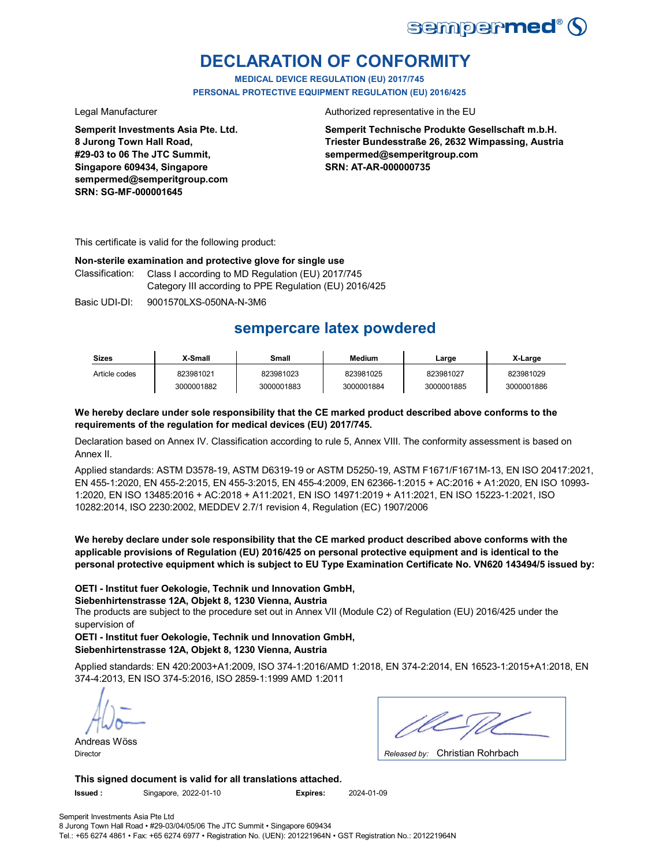

# **DECLARATION OF CONFORMITY**

**MEDICAL DEVICE REGULATION (EU) 2017/745 PERSONAL PROTECTIVE EQUIPMENT REGULATION (EU) 2016/425**

**Semperit Investments Asia Pte. Ltd. 8 Jurong Town Hall Road, #29-03 to 06 The JTC Summit, Singapore 609434, Singapore sempermed@semperitgroup.com SRN: SG-MF-000001645**

Legal Manufacturer **Authorized representative in the EU** 

**Semperit Technische Produkte Gesellschaft m.b.H. Triester Bundesstraße 26, 2632 Wimpassing, Austria sempermed@semperitgroup.com SRN: AT-AR-000000735**

This certificate is valid for the following product:

#### **Non-sterile examination and protective glove for single use**

Classification: Class I according to MD Regulation (EU) 2017/745 Category III according to PPE Regulation (EU) 2016/425

Basic UDI-DI: 9001570LXS-050NA-N-3M6

# **sempercare latex powdered**

| <b>Sizes</b>  | X-Small    | Small      | <b>Medium</b> | Large      | X-Large    |
|---------------|------------|------------|---------------|------------|------------|
| Article codes | 823981021  | 823981023  | 823981025     | 823981027  | 823981029  |
|               | 3000001882 | 3000001883 | 3000001884    | 3000001885 | 3000001886 |

### **We hereby declare under sole responsibility that the CE marked product described above conforms to the requirements of the regulation for medical devices (EU) 2017/745.**

Declaration based on Annex IV. Classification according to rule 5, Annex VIII. The conformity assessment is based on Annex II.

Applied standards: ASTM D3578-19, ASTM D6319-19 or ASTM D5250-19, ASTM F1671/F1671M-13, EN ISO 20417:2021, EN 455-1:2020, EN 455-2:2015, EN 455-3:2015, EN 455-4:2009, EN 62366-1:2015 + AC:2016 + A1:2020, EN ISO 10993- 1:2020, EN ISO 13485:2016 + AC:2018 + A11:2021, EN ISO 14971:2019 + A11:2021, EN ISO 15223-1:2021, ISO 10282:2014, ISO 2230:2002, MEDDEV 2.7/1 revision 4, Regulation (EC) 1907/2006

**We hereby declare under sole responsibility that the CE marked product described above conforms with the applicable provisions of Regulation (EU) 2016/425 on personal protective equipment and is identical to the personal protective equipment which is subject to EU Type Examination Certificate No. VN620 143494/5 issued by:**

### **OETI - Institut fuer Oekologie, Technik und Innovation GmbH,**

**Siebenhirtenstrasse 12A, Objekt 8, 1230 Vienna, Austria**

The products are subject to the procedure set out in Annex VII (Module C2) of Regulation (EU) 2016/425 under the supervision of

**OETI - Institut fuer Oekologie, Technik und Innovation GmbH, Siebenhirtenstrasse 12A, Objekt 8, 1230 Vienna, Austria**

Applied standards: EN 420:2003+A1:2009, ISO 374-1:2016/AMD 1:2018, EN 374-2:2014, EN 16523-1:2015+A1:2018, EN 374-4:2013, EN ISO 374-5:2016, ISO 2859-1:1999 AMD 1:2011

Andreas Wöss

Christian Rohrbach Director *Released by:* 

**This signed document is valid for all translations attached.**

**Issued :** Singapore, 2022-01-10 **Expires:** 2024-01-09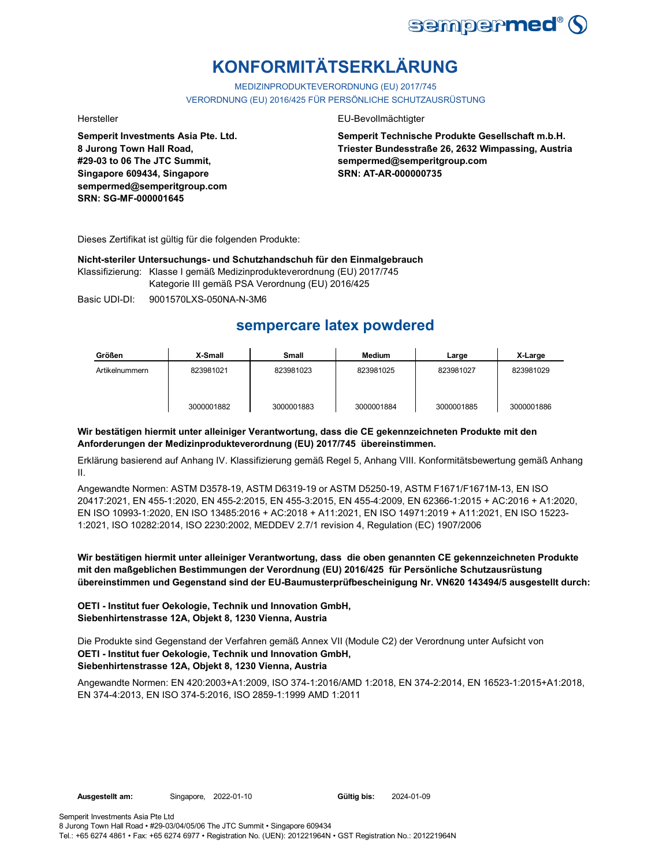

# **KONFORMITÄTSERKLÄRUNG**

MEDIZINPRODUKTEVERORDNUNG (EU) 2017/745 VERORDNUNG (EU) 2016/425 FÜR PERSÖNLICHE SCHUTZAUSRÜSTUNG

**Semperit Investments Asia Pte. Ltd. 8 Jurong Town Hall Road, #29-03 to 06 The JTC Summit, Singapore 609434, Singapore sempermed@semperitgroup.com SRN: SG-MF-000001645**

#### Hersteller EU-Bevollmächtigter

**Semperit Technische Produkte Gesellschaft m.b.H. Triester Bundesstraße 26, 2632 Wimpassing, Austria sempermed@semperitgroup.com SRN: AT-AR-000000735**

Dieses Zertifikat ist gültig für die folgenden Produkte:

**Nicht-steriler Untersuchungs- und Schutzhandschuh für den Einmalgebrauch**

Klassifizierung: Klasse I gemäß Medizinprodukteverordnung (EU) 2017/745 Kategorie III gemäß PSA Verordnung (EU) 2016/425

Basic UDI-DI: 9001570LXS-050NA-N-3M6

# **sempercare latex powdered**

| Größen         | X-Small    | Small      | <b>Medium</b> | Large      | X-Large    |
|----------------|------------|------------|---------------|------------|------------|
| Artikelnummern | 823981021  | 823981023  | 823981025     | 823981027  | 823981029  |
|                | 3000001882 | 3000001883 | 3000001884    | 3000001885 | 3000001886 |

### **Wir bestätigen hiermit unter alleiniger Verantwortung, dass die CE gekennzeichneten Produkte mit den Anforderungen der Medizinprodukteverordnung (EU) 2017/745 übereinstimmen.**

Erklärung basierend auf Anhang IV. Klassifizierung gemäß Regel 5, Anhang VIII. Konformitätsbewertung gemäß Anhang II.

Angewandte Normen: ASTM D3578-19, ASTM D6319-19 or ASTM D5250-19, ASTM F1671/F1671M-13, EN ISO 20417:2021, EN 455-1:2020, EN 455-2:2015, EN 455-3:2015, EN 455-4:2009, EN 62366-1:2015 + AC:2016 + A1:2020, EN ISO 10993-1:2020, EN ISO 13485:2016 + AC:2018 + A11:2021, EN ISO 14971:2019 + A11:2021, EN ISO 15223- 1:2021, ISO 10282:2014, ISO 2230:2002, MEDDEV 2.7/1 revision 4, Regulation (EC) 1907/2006

**Wir bestätigen hiermit unter alleiniger Verantwortung, dass die oben genannten CE gekennzeichneten Produkte mit den maßgeblichen Bestimmungen der Verordnung (EU) 2016/425 für Persönliche Schutzausrüstung übereinstimmen und Gegenstand sind der EU-Baumusterprüfbescheinigung Nr. VN620 143494/5 ausgestellt durch:**

### **OETI - Institut fuer Oekologie, Technik und Innovation GmbH, Siebenhirtenstrasse 12A, Objekt 8, 1230 Vienna, Austria**

**OETI - Institut fuer Oekologie, Technik und Innovation GmbH, Siebenhirtenstrasse 12A, Objekt 8, 1230 Vienna, Austria** Die Produkte sind Gegenstand der Verfahren gemäß Annex VII (Module C2) der Verordnung unter Aufsicht von

Angewandte Normen: EN 420:2003+A1:2009, ISO 374-1:2016/AMD 1:2018, EN 374-2:2014, EN 16523-1:2015+A1:2018, EN 374-4:2013, EN ISO 374-5:2016, ISO 2859-1:1999 AMD 1:2011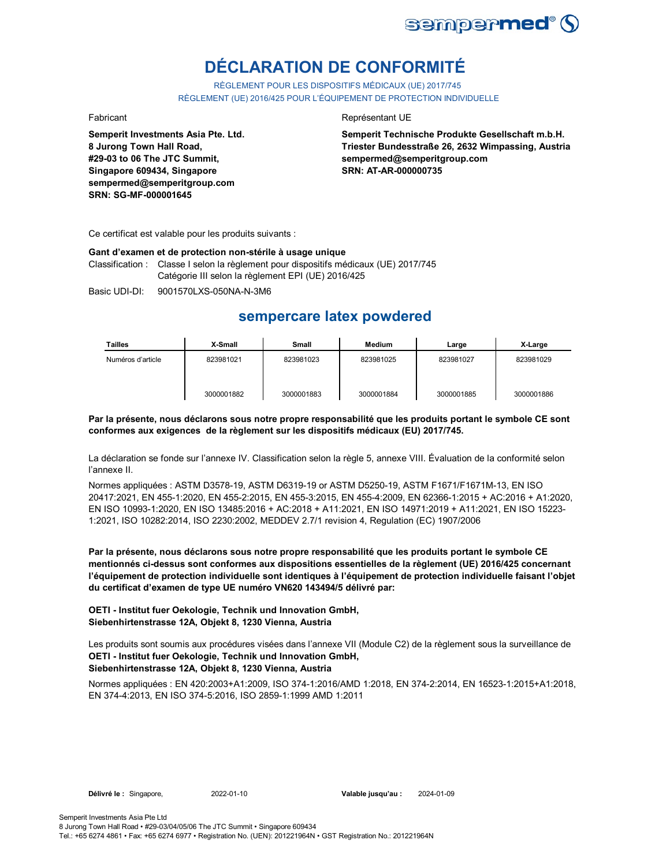

# **DÉCLARATION DE CONFORMITÉ**

RÈGLEMENT POUR LES DISPOSITIFS MÉDICAUX (UE) 2017/745 RÈGLEMENT (UE) 2016/425 POUR L'ÉQUIPEMENT DE PROTECTION INDIVIDUELLE

**Semperit Investments Asia Pte. Ltd. 8 Jurong Town Hall Road, #29-03 to 06 The JTC Summit, Singapore 609434, Singapore sempermed@semperitgroup.com SRN: SG-MF-000001645**

#### Fabricant **Représentant UE**

**Semperit Technische Produkte Gesellschaft m.b.H. Triester Bundesstraße 26, 2632 Wimpassing, Austria sempermed@semperitgroup.com SRN: AT-AR-000000735**

Ce certificat est valable pour les produits suivants :

#### **Gant d'examen et de protection non-stérile à usage unique**

Classification : Classe I selon la règlement pour dispositifs médicaux (UE) 2017/745 Catégorie III selon la règlement EPI (UE) 2016/425

Basic UDI-DI: 9001570LXS-050NA-N-3M6

## **sempercare latex powdered**

| Tailles           | X-Small    | Small      | Medium     | Large      | X-Large    |
|-------------------|------------|------------|------------|------------|------------|
| Numéros d'article | 823981021  | 823981023  | 823981025  | 823981027  | 823981029  |
|                   | 3000001882 | 3000001883 | 3000001884 | 3000001885 | 3000001886 |

#### **Par la présente, nous déclarons sous notre propre responsabilité que les produits portant le symbole CE sont conformes aux exigences de la règlement sur les dispositifs médicaux (EU) 2017/745.**

La déclaration se fonde sur l'annexe IV. Classification selon la règle 5, annexe VIII. Évaluation de la conformité selon l'annexe II.

Normes appliquées : ASTM D3578-19, ASTM D6319-19 or ASTM D5250-19, ASTM F1671/F1671M-13, EN ISO 20417:2021, EN 455-1:2020, EN 455-2:2015, EN 455-3:2015, EN 455-4:2009, EN 62366-1:2015 + AC:2016 + A1:2020, EN ISO 10993-1:2020, EN ISO 13485:2016 + AC:2018 + A11:2021, EN ISO 14971:2019 + A11:2021, EN ISO 15223- 1:2021, ISO 10282:2014, ISO 2230:2002, MEDDEV 2.7/1 revision 4, Regulation (EC) 1907/2006

**Par la présente, nous déclarons sous notre propre responsabilité que les produits portant le symbole CE mentionnés ci-dessus sont conformes aux dispositions essentielles de la règlement (UE) 2016/425 concernant l'équipement de protection individuelle sont identiques à l'équipement de protection individuelle faisant l'objet du certificat d'examen de type UE numéro VN620 143494/5 délivré par:**

#### **OETI - Institut fuer Oekologie, Technik und Innovation GmbH, Siebenhirtenstrasse 12A, Objekt 8, 1230 Vienna, Austria**

**OETI - Institut fuer Oekologie, Technik und Innovation GmbH,**  Les produits sont soumis aux procédures visées dans l'annexe VII (Module C2) de la règlement sous la surveillance de

### **Siebenhirtenstrasse 12A, Objekt 8, 1230 Vienna, Austria**

Normes appliquées : EN 420:2003+A1:2009, ISO 374-1:2016/AMD 1:2018, EN 374-2:2014, EN 16523-1:2015+A1:2018, EN 374-4:2013, EN ISO 374-5:2016, ISO 2859-1:1999 AMD 1:2011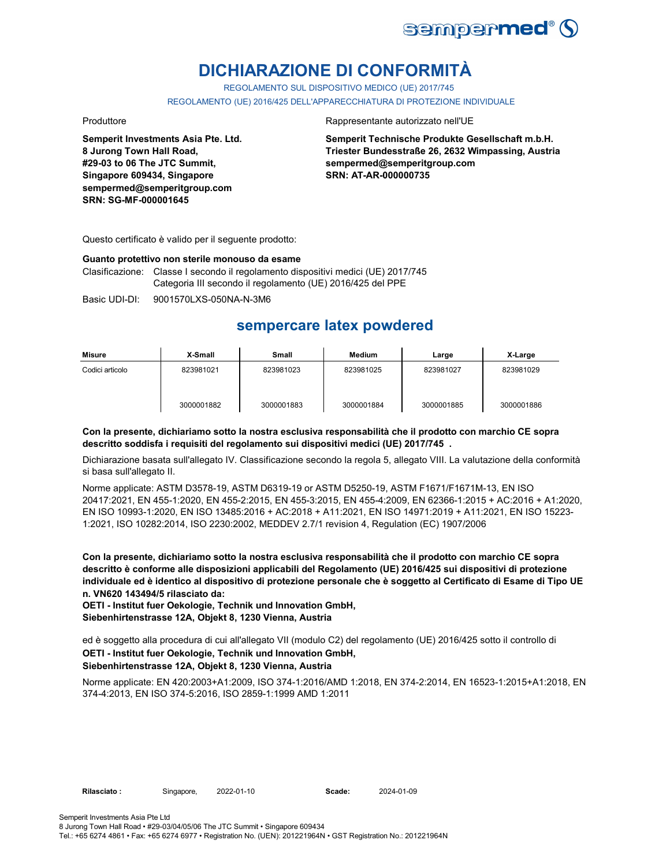

# **DICHIARAZIONE DI CONFORMITÀ**

REGOLAMENTO SUL DISPOSITIVO MEDICO (UE) 2017/745

REGOLAMENTO (UE) 2016/425 DELL'APPARECCHIATURA DI PROTEZIONE INDIVIDUALE

**Semperit Investments Asia Pte. Ltd. 8 Jurong Town Hall Road, #29-03 to 06 The JTC Summit, Singapore 609434, Singapore sempermed@semperitgroup.com SRN: SG-MF-000001645**

#### Produttore **Rappresentante autorizzato nell'UE**

**Semperit Technische Produkte Gesellschaft m.b.H. Triester Bundesstraße 26, 2632 Wimpassing, Austria sempermed@semperitgroup.com SRN: AT-AR-000000735**

Questo certificato è valido per il seguente prodotto:

#### **Guanto protettivo non sterile monouso da esame**

Clasificazione: Classe I secondo il regolamento dispositivi medici (UE) 2017/745 Categoria III secondo il regolamento (UE) 2016/425 del PPE

Basic UDI-DI: 9001570LXS-050NA-N-3M6

## **sempercare latex powdered**

| Misure          | X-Small    | Small      | <b>Medium</b> | Large      | X-Large    |
|-----------------|------------|------------|---------------|------------|------------|
| Codici articolo | 823981021  | 823981023  | 823981025     | 823981027  | 823981029  |
|                 | 3000001882 | 3000001883 | 3000001884    | 3000001885 | 3000001886 |

#### **Con la presente, dichiariamo sotto la nostra esclusiva responsabilità che il prodotto con marchio CE sopra descritto soddisfa i requisiti del regolamento sui dispositivi medici (UE) 2017/745 .**

Dichiarazione basata sull'allegato IV. Classificazione secondo la regola 5, allegato VIII. La valutazione della conformità si basa sull'allegato II.

Norme applicate: ASTM D3578-19, ASTM D6319-19 or ASTM D5250-19, ASTM F1671/F1671M-13, EN ISO 20417:2021, EN 455-1:2020, EN 455-2:2015, EN 455-3:2015, EN 455-4:2009, EN 62366-1:2015 + AC:2016 + A1:2020, EN ISO 10993-1:2020, EN ISO 13485:2016 + AC:2018 + A11:2021, EN ISO 14971:2019 + A11:2021, EN ISO 15223- 1:2021, ISO 10282:2014, ISO 2230:2002, MEDDEV 2.7/1 revision 4, Regulation (EC) 1907/2006

**Con la presente, dichiariamo sotto la nostra esclusiva responsabilità che il prodotto con marchio CE sopra descritto è conforme alle disposizioni applicabili del Regolamento (UE) 2016/425 sui dispositivi di protezione individuale ed è identico al dispositivo di protezione personale che è soggetto al Certificato di Esame di Tipo UE n. VN620 143494/5 rilasciato da:**

**OETI - Institut fuer Oekologie, Technik und Innovation GmbH, Siebenhirtenstrasse 12A, Objekt 8, 1230 Vienna, Austria**

**OETI - Institut fuer Oekologie, Technik und Innovation GmbH, Siebenhirtenstrasse 12A, Objekt 8, 1230 Vienna, Austria** ed è soggetto alla procedura di cui all'allegato VII (modulo C2) del regolamento (UE) 2016/425 sotto il controllo di

Norme applicate: EN 420:2003+A1:2009, ISO 374-1:2016/AMD 1:2018, EN 374-2:2014, EN 16523-1:2015+A1:2018, EN 374-4:2013, EN ISO 374-5:2016, ISO 2859-1:1999 AMD 1:2011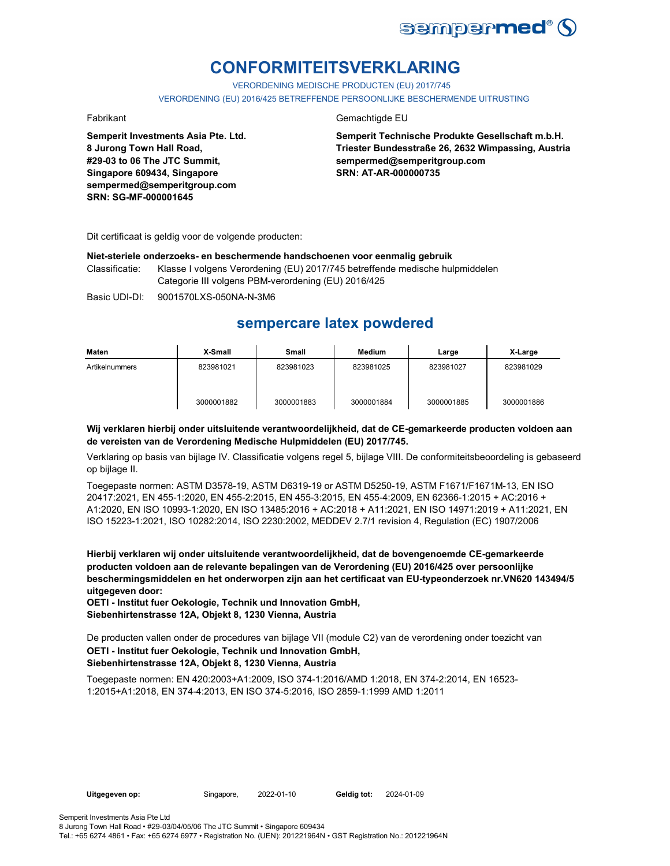

# **CONFORMITEITSVERKLARING**

VERORDENING MEDISCHE PRODUCTEN (EU) 2017/745 VERORDENING (EU) 2016/425 BETREFFENDE PERSOONLIJKE BESCHERMENDE UITRUSTING

**Semperit Investments Asia Pte. Ltd. 8 Jurong Town Hall Road, #29-03 to 06 The JTC Summit, Singapore 609434, Singapore sempermed@semperitgroup.com SRN: SG-MF-000001645**

#### Fabrikant Gemachtigde EU

**Semperit Technische Produkte Gesellschaft m.b.H. Triester Bundesstraße 26, 2632 Wimpassing, Austria sempermed@semperitgroup.com SRN: AT-AR-000000735**

Dit certificaat is geldig voor de volgende producten:

#### **Niet-steriele onderzoeks- en beschermende handschoenen voor eenmalig gebruik**

Classificatie: Klasse I volgens Verordening (EU) 2017/745 betreffende medische hulpmiddelen Categorie III volgens PBM-verordening (EU) 2016/425

Basic UDI-DI: 9001570LXS-050NA-N-3M6

## **sempercare latex powdered**

| Maten          | X-Small    | Small      | Medium     | Large      | X-Large    |
|----------------|------------|------------|------------|------------|------------|
| Artikelnummers | 823981021  | 823981023  | 823981025  | 823981027  | 823981029  |
|                | 3000001882 | 3000001883 | 3000001884 | 3000001885 | 3000001886 |

#### **Wij verklaren hierbij onder uitsluitende verantwoordelijkheid, dat de CE-gemarkeerde producten voldoen aan de vereisten van de Verordening Medische Hulpmiddelen (EU) 2017/745.**

Verklaring op basis van bijlage IV. Classificatie volgens regel 5, bijlage VIII. De conformiteitsbeoordeling is gebaseerd op bijlage II.

Toegepaste normen: ASTM D3578-19, ASTM D6319-19 or ASTM D5250-19, ASTM F1671/F1671M-13, EN ISO 20417:2021, EN 455-1:2020, EN 455-2:2015, EN 455-3:2015, EN 455-4:2009, EN 62366-1:2015 + AC:2016 + A1:2020, EN ISO 10993-1:2020, EN ISO 13485:2016 + AC:2018 + A11:2021, EN ISO 14971:2019 + A11:2021, EN ISO 15223-1:2021, ISO 10282:2014, ISO 2230:2002, MEDDEV 2.7/1 revision 4, Regulation (EC) 1907/2006

**Hierbij verklaren wij onder uitsluitende verantwoordelijkheid, dat de bovengenoemde CE-gemarkeerde producten voldoen aan de relevante bepalingen van de Verordening (EU) 2016/425 over persoonlijke beschermingsmiddelen en het onderworpen zijn aan het certificaat van EU-typeonderzoek nr.VN620 143494/5 uitgegeven door:**

**OETI - Institut fuer Oekologie, Technik und Innovation GmbH, Siebenhirtenstrasse 12A, Objekt 8, 1230 Vienna, Austria**

De producten vallen onder de procedures van bijlage VII (module C2) van de verordening onder toezicht van

#### **OETI - Institut fuer Oekologie, Technik und Innovation GmbH, Siebenhirtenstrasse 12A, Objekt 8, 1230 Vienna, Austria**

Toegepaste normen: EN 420:2003+A1:2009, ISO 374-1:2016/AMD 1:2018, EN 374-2:2014, EN 16523- 1:2015+A1:2018, EN 374-4:2013, EN ISO 374-5:2016, ISO 2859-1:1999 AMD 1:2011

**Uitgegeven op:** Singapore, 2022-01-10 **Geldig tot:** 2024-01-09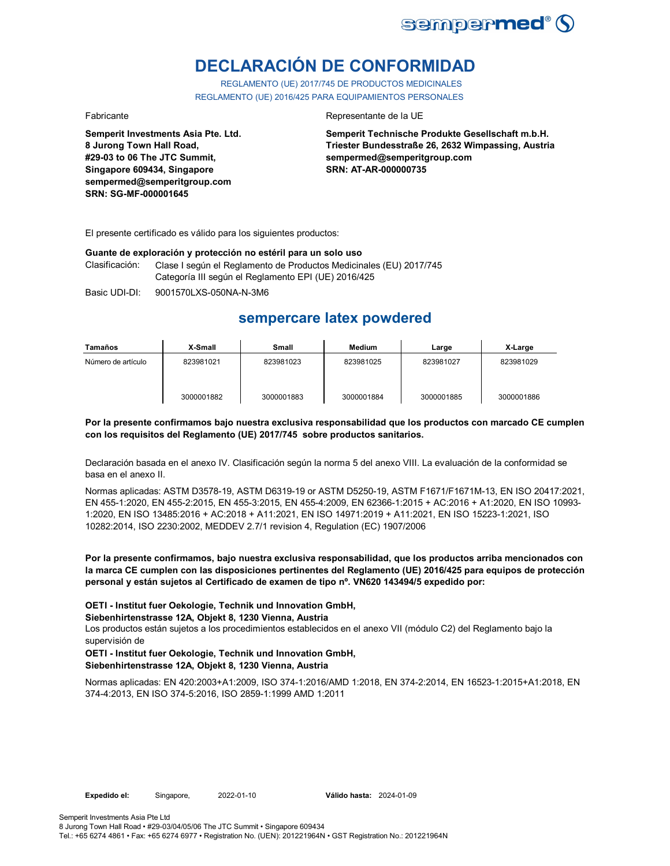

# **DECLARACIÓN DE CONFORMIDAD**

REGLAMENTO (UE) 2017/745 DE PRODUCTOS MEDICINALES REGLAMENTO (UE) 2016/425 PARA EQUIPAMIENTOS PERSONALES

**Semperit Investments Asia Pte. Ltd. 8 Jurong Town Hall Road, #29-03 to 06 The JTC Summit, Singapore 609434, Singapore sempermed@semperitgroup.com SRN: SG-MF-000001645**

#### Fabricante **Representante de la UE**

**Semperit Technische Produkte Gesellschaft m.b.H. Triester Bundesstraße 26, 2632 Wimpassing, Austria sempermed@semperitgroup.com SRN: AT-AR-000000735**

El presente certificado es válido para los siguientes productos:

#### **Guante de exploración y protección no estéril para un solo uso**

Clasificación: Clase I según el Reglamento de Productos Medicinales (EU) 2017/745 Categoría III según el Reglamento EPI (UE) 2016/425

Basic UDI-DI: 9001570LXS-050NA-N-3M6

## **sempercare latex powdered**

| Tamaños            | X-Small    | Small      | Medium     | Large      | X-Large    |
|--------------------|------------|------------|------------|------------|------------|
| Número de artículo | 823981021  | 823981023  | 823981025  | 823981027  | 823981029  |
|                    | 3000001882 | 3000001883 | 3000001884 | 3000001885 | 3000001886 |

#### **Por la presente confirmamos bajo nuestra exclusiva responsabilidad que los productos con marcado CE cumplen con los requisitos del Reglamento (UE) 2017/745 sobre productos sanitarios.**

Declaración basada en el anexo IV. Clasificación según la norma 5 del anexo VIII. La evaluación de la conformidad se basa en el anexo II.

Normas aplicadas: ASTM D3578-19, ASTM D6319-19 or ASTM D5250-19, ASTM F1671/F1671M-13, EN ISO 20417:2021, EN 455-1:2020, EN 455-2:2015, EN 455-3:2015, EN 455-4:2009, EN 62366-1:2015 + AC:2016 + A1:2020, EN ISO 10993- 1:2020, EN ISO 13485:2016 + AC:2018 + A11:2021, EN ISO 14971:2019 + A11:2021, EN ISO 15223-1:2021, ISO 10282:2014, ISO 2230:2002, MEDDEV 2.7/1 revision 4, Regulation (EC) 1907/2006

**Por la presente confirmamos, bajo nuestra exclusiva responsabilidad, que los productos arriba mencionados con la marca CE cumplen con las disposiciones pertinentes del Reglamento (UE) 2016/425 para equipos de protección personal y están sujetos al Certificado de examen de tipo nº. VN620 143494/5 expedido por:**

**OETI - Institut fuer Oekologie, Technik und Innovation GmbH,** 

**Siebenhirtenstrasse 12A, Objekt 8, 1230 Vienna, Austria**

Los productos están sujetos a los procedimientos establecidos en el anexo VII (módulo C2) del Reglamento bajo la supervisión de

#### **OETI - Institut fuer Oekologie, Technik und Innovation GmbH, Siebenhirtenstrasse 12A, Objekt 8, 1230 Vienna, Austria**

Normas aplicadas: EN 420:2003+A1:2009, ISO 374-1:2016/AMD 1:2018, EN 374-2:2014, EN 16523-1:2015+A1:2018, EN 374-4:2013, EN ISO 374-5:2016, ISO 2859-1:1999 AMD 1:2011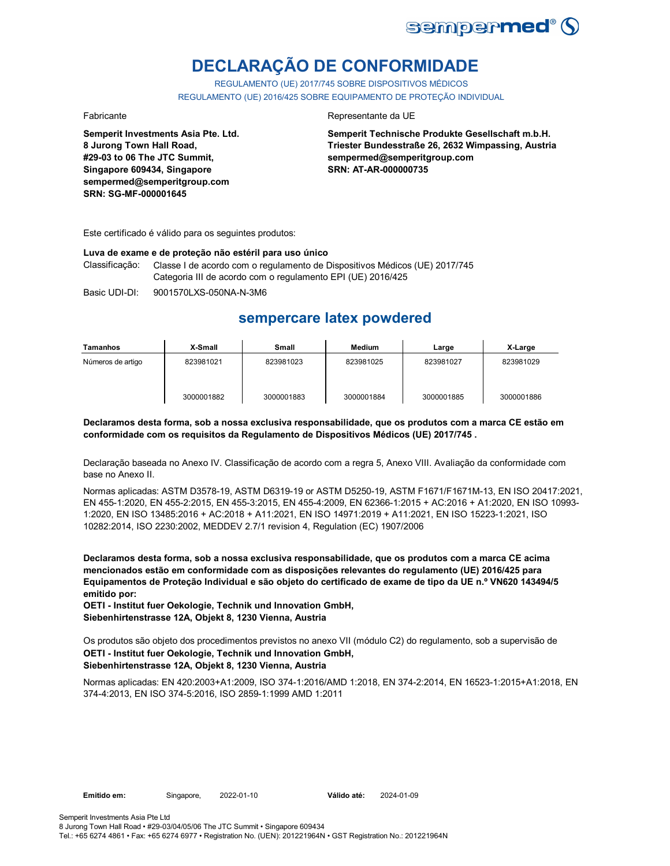

# **DECLARAÇÃO DE CONFORMIDADE**

REGULAMENTO (UE) 2017/745 SOBRE DISPOSITIVOS MÉDICOS REGULAMENTO (UE) 2016/425 SOBRE EQUIPAMENTO DE PROTEÇÃO INDIVIDUAL

**Semperit Investments Asia Pte. Ltd. 8 Jurong Town Hall Road, #29-03 to 06 The JTC Summit, Singapore 609434, Singapore sempermed@semperitgroup.com SRN: SG-MF-000001645**

#### Fabricante da UE

**Semperit Technische Produkte Gesellschaft m.b.H. Triester Bundesstraße 26, 2632 Wimpassing, Austria sempermed@semperitgroup.com SRN: AT-AR-000000735**

Este certificado é válido para os seguintes produtos:

#### **Luva de exame e de proteção não estéril para uso único**

Classificação: Classe I de acordo com o regulamento de Dispositivos Médicos (UE) 2017/745 Categoria III de acordo com o regulamento EPI (UE) 2016/425

Basic UDI-DI: 9001570LXS-050NA-N-3M6

## **sempercare latex powdered**

| Tamanhos          | X-Small    | Small      | Medium     | Large      | X-Large    |
|-------------------|------------|------------|------------|------------|------------|
| Números de artigo | 823981021  | 823981023  | 823981025  | 823981027  | 823981029  |
|                   | 3000001882 | 3000001883 | 3000001884 | 3000001885 | 3000001886 |

#### **Declaramos desta forma, sob a nossa exclusiva responsabilidade, que os produtos com a marca CE estão em conformidade com os requisitos da Regulamento de Dispositivos Médicos (UE) 2017/745 .**

Declaração baseada no Anexo IV. Classificação de acordo com a regra 5, Anexo VIII. Avaliação da conformidade com base no Anexo II.

Normas aplicadas: ASTM D3578-19, ASTM D6319-19 or ASTM D5250-19, ASTM F1671/F1671M-13, EN ISO 20417:2021, EN 455-1:2020, EN 455-2:2015, EN 455-3:2015, EN 455-4:2009, EN 62366-1:2015 + AC:2016 + A1:2020, EN ISO 10993- 1:2020, EN ISO 13485:2016 + AC:2018 + A11:2021, EN ISO 14971:2019 + A11:2021, EN ISO 15223-1:2021, ISO 10282:2014, ISO 2230:2002, MEDDEV 2.7/1 revision 4, Regulation (EC) 1907/2006

**Declaramos desta forma, sob a nossa exclusiva responsabilidade, que os produtos com a marca CE acima mencionados estão em conformidade com as disposições relevantes do regulamento (UE) 2016/425 para Equipamentos de Proteção Individual e são objeto do certificado de exame de tipo da UE n.º VN620 143494/5 emitido por:**

**OETI - Institut fuer Oekologie, Technik und Innovation GmbH, Siebenhirtenstrasse 12A, Objekt 8, 1230 Vienna, Austria**

**OETI - Institut fuer Oekologie, Technik und Innovation GmbH, Siebenhirtenstrasse 12A, Objekt 8, 1230 Vienna, Austria** Os produtos são objeto dos procedimentos previstos no anexo VII (módulo C2) do regulamento, sob a supervisão de

Normas aplicadas: EN 420:2003+A1:2009, ISO 374-1:2016/AMD 1:2018, EN 374-2:2014, EN 16523-1:2015+A1:2018, EN 374-4:2013, EN ISO 374-5:2016, ISO 2859-1:1999 AMD 1:2011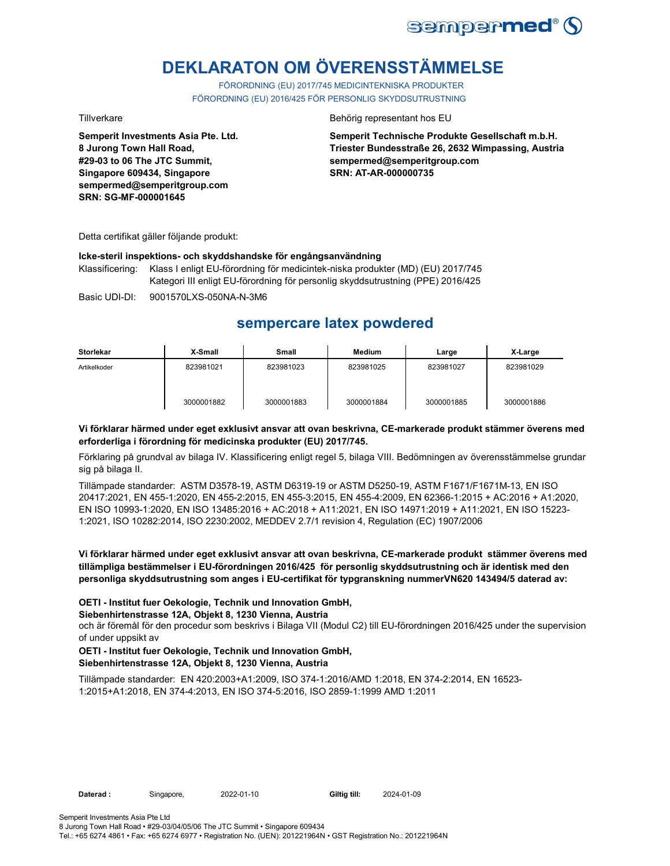

# **DEKLARATON OM ÖVERENSSTÄMMELSE**

FÖRORDNING (EU) 2017/745 MEDICINTEKNISKA PRODUKTER FÖRORDNING (EU) 2016/425 FÖR PERSONLIG SKYDDSUTRUSTNING

**Semperit Investments Asia Pte. Ltd. 8 Jurong Town Hall Road, #29-03 to 06 The JTC Summit, Singapore 609434, Singapore sempermed@semperitgroup.com SRN: SG-MF-000001645**

Tillverkare Behörig representant hos EU

**Semperit Technische Produkte Gesellschaft m.b.H. Triester Bundesstraße 26, 2632 Wimpassing, Austria sempermed@semperitgroup.com SRN: AT-AR-000000735**

Detta certifikat gäller följande produkt:

#### **Icke-steril inspektions- och skyddshandske för engångsanvändning**

Klassificering: Klass I enligt EU-förordning för medicintek-niska produkter (MD) (EU) 2017/745 Kategori III enligt EU-förordning för personlig skyddsutrustning (PPE) 2016/425

Basic UDI-DI: 9001570LXS-050NA-N-3M6

## **sempercare latex powdered**

| Storlekar    | X-Small    | Small      | <b>Medium</b> | Large      | X-Large    |
|--------------|------------|------------|---------------|------------|------------|
| Artikelkoder | 823981021  | 823981023  | 823981025     | 823981027  | 823981029  |
|              | 3000001882 | 3000001883 | 3000001884    | 3000001885 | 3000001886 |

### **Vi förklarar härmed under eget exklusivt ansvar att ovan beskrivna, CE-markerade produkt stämmer överens med erforderliga i förordning för medicinska produkter (EU) 2017/745.**

Förklaring på grundval av bilaga IV. Klassificering enligt regel 5, bilaga VIII. Bedömningen av överensstämmelse grundar sig på bilaga II.

Tillämpade standarder: ASTM D3578-19, ASTM D6319-19 or ASTM D5250-19, ASTM F1671/F1671M-13, EN ISO 20417:2021, EN 455-1:2020, EN 455-2:2015, EN 455-3:2015, EN 455-4:2009, EN 62366-1:2015 + AC:2016 + A1:2020, EN ISO 10993-1:2020, EN ISO 13485:2016 + AC:2018 + A11:2021, EN ISO 14971:2019 + A11:2021, EN ISO 15223- 1:2021, ISO 10282:2014, ISO 2230:2002, MEDDEV 2.7/1 revision 4, Regulation (EC) 1907/2006

**Vi förklarar härmed under eget exklusivt ansvar att ovan beskrivna, CE-markerade produkt stämmer överens med tillämpliga bestämmelser i EU-förordningen 2016/425 för personlig skyddsutrustning och är identisk med den personliga skyddsutrustning som anges i EU-certifikat för typgranskning nummerVN620 143494/5 daterad av:**

### **OETI - Institut fuer Oekologie, Technik und Innovation GmbH,**

### **Siebenhirtenstrasse 12A, Objekt 8, 1230 Vienna, Austria**

och är föremål för den procedur som beskrivs i Bilaga VII (Modul C2) till EU-förordningen 2016/425 under the supervision of under uppsikt av

# **OETI - Institut fuer Oekologie, Technik und Innovation GmbH,**

**Siebenhirtenstrasse 12A, Objekt 8, 1230 Vienna, Austria**

Tillämpade standarder: EN 420:2003+A1:2009, ISO 374-1:2016/AMD 1:2018, EN 374-2:2014, EN 16523- 1:2015+A1:2018, EN 374-4:2013, EN ISO 374-5:2016, ISO 2859-1:1999 AMD 1:2011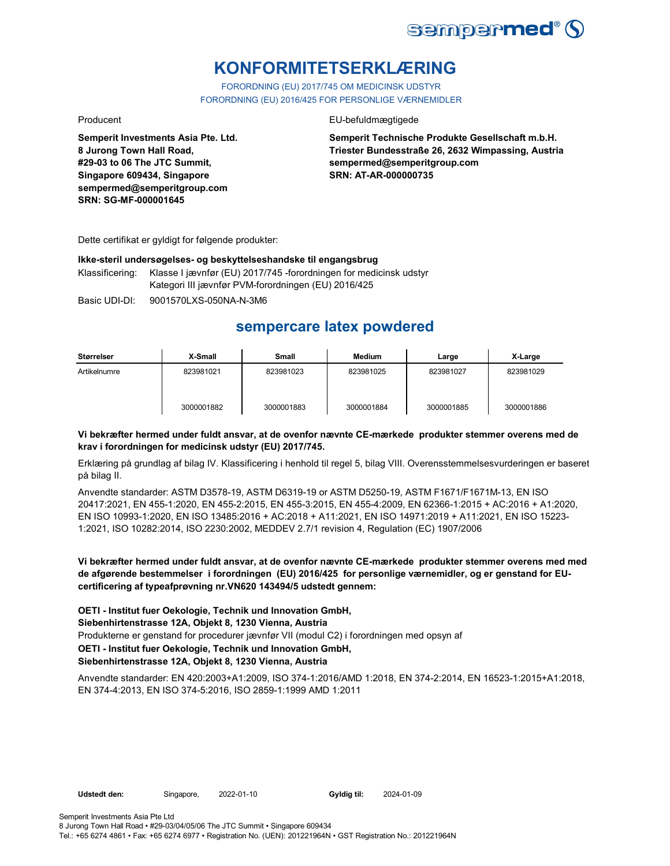

# **KONFORMITETSERKLÆRING**

FORORDNING (EU) 2017/745 OM MEDICINSK UDSTYR FORORDNING (EU) 2016/425 FOR PERSONLIGE VÆRNEMIDLER

Producent **EU-befuldmægtigede** 

**Semperit Technische Produkte Gesellschaft m.b.H. Triester Bundesstraße 26, 2632 Wimpassing, Austria sempermed@semperitgroup.com SRN: AT-AR-000000735**

**SRN: SG-MF-000001645**

**Semperit Investments Asia Pte. Ltd.**

**8 Jurong Town Hall Road, #29-03 to 06 The JTC Summit, Singapore 609434, Singapore sempermed@semperitgroup.com**

Dette certifikat er gyldigt for følgende produkter:

#### **Ikke-steril undersøgelses- og beskyttelseshandske til engangsbrug**

Klassificering: Klasse I jævnfør (EU) 2017/745 -forordningen for medicinsk udstyr Kategori III jævnfør PVM-forordningen (EU) 2016/425

Basic UDI-DI: 9001570LXS-050NA-N-3M6

## **sempercare latex powdered**

| Størrelser   | X-Small    | Small      | <b>Medium</b> | Large      | X-Large    |
|--------------|------------|------------|---------------|------------|------------|
| Artikelnumre | 823981021  | 823981023  | 823981025     | 823981027  | 823981029  |
|              | 3000001882 | 3000001883 | 3000001884    | 3000001885 | 3000001886 |

### **Vi bekræfter hermed under fuldt ansvar, at de ovenfor nævnte CE-mærkede produkter stemmer overens med de krav i forordningen for medicinsk udstyr (EU) 2017/745.**

Erklæring på grundlag af bilag IV. Klassificering i henhold til regel 5, bilag VIII. Overensstemmelsesvurderingen er baseret på bilag II.

Anvendte standarder: ASTM D3578-19, ASTM D6319-19 or ASTM D5250-19, ASTM F1671/F1671M-13, EN ISO 20417:2021, EN 455-1:2020, EN 455-2:2015, EN 455-3:2015, EN 455-4:2009, EN 62366-1:2015 + AC:2016 + A1:2020, EN ISO 10993-1:2020, EN ISO 13485:2016 + AC:2018 + A11:2021, EN ISO 14971:2019 + A11:2021, EN ISO 15223- 1:2021, ISO 10282:2014, ISO 2230:2002, MEDDEV 2.7/1 revision 4, Regulation (EC) 1907/2006

**Vi bekræfter hermed under fuldt ansvar, at de ovenfor nævnte CE-mærkede produkter stemmer overens med med de afgørende bestemmelser i forordningen (EU) 2016/425 for personlige værnemidler, og er genstand for EUcertificering af typeafprøvning nr.VN620 143494/5 udstedt gennem:**

**OETI - Institut fuer Oekologie, Technik und Innovation GmbH, Siebenhirtenstrasse 12A, Objekt 8, 1230 Vienna, Austria** Produkterne er genstand for procedurer jævnfør VII (modul C2) i forordningen med opsyn af **OETI - Institut fuer Oekologie, Technik und Innovation GmbH, Siebenhirtenstrasse 12A, Objekt 8, 1230 Vienna, Austria**

Anvendte standarder: EN 420:2003+A1:2009, ISO 374-1:2016/AMD 1:2018, EN 374-2:2014, EN 16523-1:2015+A1:2018, EN 374-4:2013, EN ISO 374-5:2016, ISO 2859-1:1999 AMD 1:2011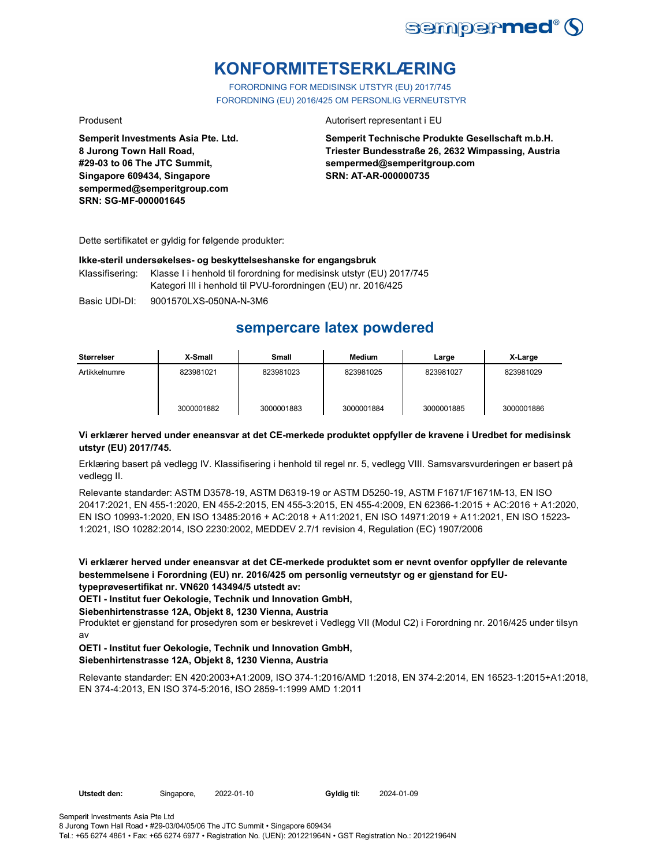

# **KONFORMITETSERKLÆRING**

FORORDNING FOR MEDISINSK UTSTYR (EU) 2017/745 FORORDNING (EU) 2016/425 OM PERSONLIG VERNEUTSTYR

**Semperit Investments Asia Pte. Ltd. 8 Jurong Town Hall Road, #29-03 to 06 The JTC Summit, Singapore 609434, Singapore sempermed@semperitgroup.com SRN: SG-MF-000001645**

#### Produsent **Autorisert representant i EU**

**Semperit Technische Produkte Gesellschaft m.b.H. Triester Bundesstraße 26, 2632 Wimpassing, Austria sempermed@semperitgroup.com SRN: AT-AR-000000735**

Dette sertifikatet er gyldig for følgende produkter:

#### **Ikke-steril undersøkelses- og beskyttelseshanske for engangsbruk**

Klassifisering: Klasse I i henhold til forordning for medisinsk utstyr (EU) 2017/745 Kategori III i henhold til PVU-forordningen (EU) nr. 2016/425

Basic UDI-DI: 9001570LXS-050NA-N-3M6

## **sempercare latex powdered**

| Størrelser    | X-Small    | <b>Small</b> | Medium     | Large      | X-Large    |
|---------------|------------|--------------|------------|------------|------------|
| Artikkelnumre | 823981021  | 823981023    | 823981025  | 823981027  | 823981029  |
|               | 3000001882 | 3000001883   | 3000001884 | 3000001885 | 3000001886 |

### **Vi erklærer herved under eneansvar at det CE-merkede produktet oppfyller de kravene i Uredbet for medisinsk utstyr (EU) 2017/745.**

Erklæring basert på vedlegg IV. Klassifisering i henhold til regel nr. 5, vedlegg VIII. Samsvarsvurderingen er basert på vedlegg II.

Relevante standarder: ASTM D3578-19, ASTM D6319-19 or ASTM D5250-19, ASTM F1671/F1671M-13, EN ISO 20417:2021, EN 455-1:2020, EN 455-2:2015, EN 455-3:2015, EN 455-4:2009, EN 62366-1:2015 + AC:2016 + A1:2020, EN ISO 10993-1:2020, EN ISO 13485:2016 + AC:2018 + A11:2021, EN ISO 14971:2019 + A11:2021, EN ISO 15223- 1:2021, ISO 10282:2014, ISO 2230:2002, MEDDEV 2.7/1 revision 4, Regulation (EC) 1907/2006

**Vi erklærer herved under eneansvar at det CE-merkede produktet som er nevnt ovenfor oppfyller de relevante bestemmelsene i Forordning (EU) nr. 2016/425 om personlig verneutstyr og er gjenstand for EUtypeprøvesertifikat nr. VN620 143494/5 utstedt av:**

**OETI - Institut fuer Oekologie, Technik und Innovation GmbH,** 

#### **Siebenhirtenstrasse 12A, Objekt 8, 1230 Vienna, Austria**

Produktet er gjenstand for prosedyren som er beskrevet i Vedlegg VII (Modul C2) i Forordning nr. 2016/425 under tilsyn av

#### **OETI - Institut fuer Oekologie, Technik und Innovation GmbH, Siebenhirtenstrasse 12A, Objekt 8, 1230 Vienna, Austria**

Relevante standarder: EN 420:2003+A1:2009, ISO 374-1:2016/AMD 1:2018, EN 374-2:2014, EN 16523-1:2015+A1:2018, EN 374-4:2013, EN ISO 374-5:2016, ISO 2859-1:1999 AMD 1:2011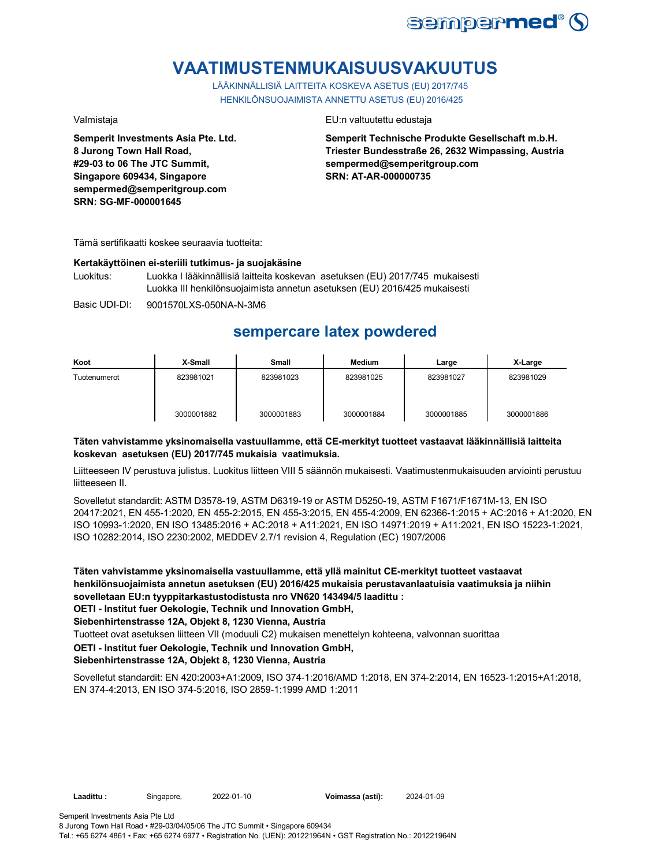

# **VAATIMUSTENMUKAISUUSVAKUUTUS**

LÄÄKINNÄLLISIÄ LAITTEITA KOSKEVA ASETUS (EU) 2017/745 HENKILÖNSUOJAIMISTA ANNETTU ASETUS (EU) 2016/425

**Semperit Investments Asia Pte. Ltd. 8 Jurong Town Hall Road, #29-03 to 06 The JTC Summit, Singapore 609434, Singapore sempermed@semperitgroup.com SRN: SG-MF-000001645**

#### Valmistaja EU:n valtuutettu edustaja

**Semperit Technische Produkte Gesellschaft m.b.H. Triester Bundesstraße 26, 2632 Wimpassing, Austria sempermed@semperitgroup.com SRN: AT-AR-000000735**

Tämä sertifikaatti koskee seuraavia tuotteita:

### **Kertakäyttöinen ei-steriili tutkimus- ja suojakäsine**

Luokitus: Luokka I lääkinnällisiä laitteita koskevan asetuksen (EU) 2017/745 mukaisesti Luokka III henkilönsuojaimista annetun asetuksen (EU) 2016/425 mukaisesti

Basic UDI-DI: 9001570LXS-050NA-N-3M6

# **sempercare latex powdered**

| Koot         | X-Small    | Small      | <b>Medium</b> | Large      | X-Large    |
|--------------|------------|------------|---------------|------------|------------|
| Tuotenumerot | 823981021  | 823981023  | 823981025     | 823981027  | 823981029  |
|              | 3000001882 | 3000001883 | 3000001884    | 3000001885 | 3000001886 |

### **Täten vahvistamme yksinomaisella vastuullamme, että CE-merkityt tuotteet vastaavat lääkinnällisiä laitteita koskevan asetuksen (EU) 2017/745 mukaisia vaatimuksia.**

Liitteeseen IV perustuva julistus. Luokitus liitteen VIII 5 säännön mukaisesti. Vaatimustenmukaisuuden arviointi perustuu liitteeseen II.

Sovelletut standardit: ASTM D3578-19, ASTM D6319-19 or ASTM D5250-19, ASTM F1671/F1671M-13, EN ISO 20417:2021, EN 455-1:2020, EN 455-2:2015, EN 455-3:2015, EN 455-4:2009, EN 62366-1:2015 + AC:2016 + A1:2020, EN ISO 10993-1:2020, EN ISO 13485:2016 + AC:2018 + A11:2021, EN ISO 14971:2019 + A11:2021, EN ISO 15223-1:2021, ISO 10282:2014, ISO 2230:2002, MEDDEV 2.7/1 revision 4, Regulation (EC) 1907/2006

**Täten vahvistamme yksinomaisella vastuullamme, että yllä mainitut CE-merkityt tuotteet vastaavat henkilönsuojaimista annetun asetuksen (EU) 2016/425 mukaisia perustavanlaatuisia vaatimuksia ja niihin sovelletaan EU:n tyyppitarkastustodistusta nro VN620 143494/5 laadittu : OETI - Institut fuer Oekologie, Technik und Innovation GmbH,** 

**Siebenhirtenstrasse 12A, Objekt 8, 1230 Vienna, Austria**

Tuotteet ovat asetuksen liitteen VII (moduuli C2) mukaisen menettelyn kohteena, valvonnan suorittaa

## **OETI - Institut fuer Oekologie, Technik und Innovation GmbH,**

**Siebenhirtenstrasse 12A, Objekt 8, 1230 Vienna, Austria**

Sovelletut standardit: EN 420:2003+A1:2009, ISO 374-1:2016/AMD 1:2018, EN 374-2:2014, EN 16523-1:2015+A1:2018, EN 374-4:2013, EN ISO 374-5:2016, ISO 2859-1:1999 AMD 1:2011

Tel.: +65 6274 4861 • Fax: +65 6274 6977 • Registration No. (UEN): 201221964N • GST Registration No.: 201221964N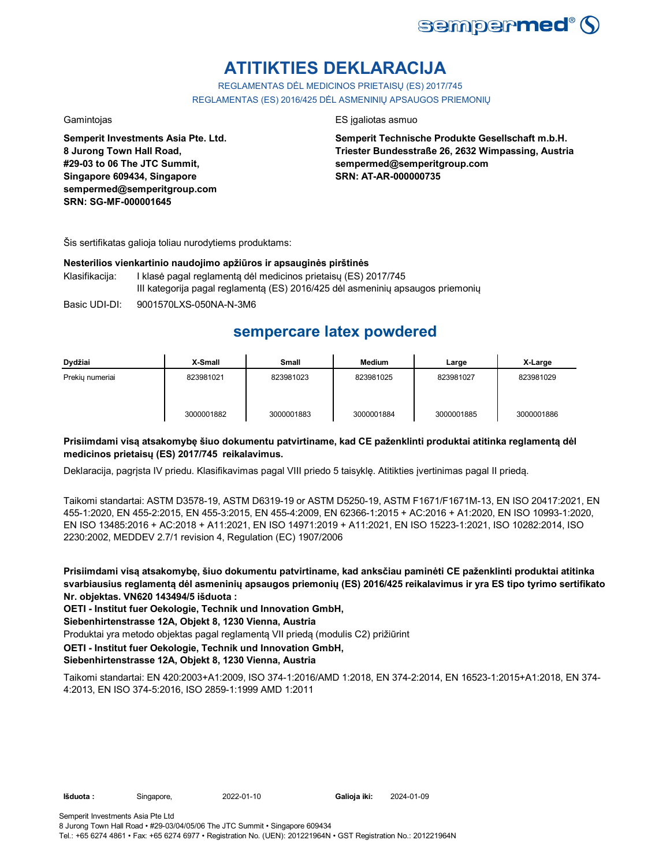

# **ATITIKTIES DEKLARACIJA**

REGLAMENTAS DĖL MEDICINOS PRIETAISŲ (ES) 2017/745 REGLAMENTAS (ES) 2016/425 DĖL ASMENINIŲ APSAUGOS PRIEMONIŲ

**Semperit Investments Asia Pte. Ltd. 8 Jurong Town Hall Road, #29-03 to 06 The JTC Summit, Singapore 609434, Singapore sempermed@semperitgroup.com SRN: SG-MF-000001645**

### Gamintojas ES įgaliotas asmuo

**Semperit Technische Produkte Gesellschaft m.b.H. Triester Bundesstraße 26, 2632 Wimpassing, Austria sempermed@semperitgroup.com SRN: AT-AR-000000735**

Šis sertifikatas galioja toliau nurodytiems produktams:

#### **Nesterilios vienkartinio naudojimo apžiūros ir apsauginės pirštinės**

- Klasifikacija: I klasė pagal reglamentą dėl medicinos prietaisų (ES) 2017/745 III kategorija pagal reglamentą (ES) 2016/425 dėl asmeninių apsaugos priemonių
- Basic UDI-DI: 9001570LXS-050NA-N-3M6

## **sempercare latex powdered**

| Dydžiai         | X-Small    | <b>Small</b> | <b>Medium</b> | Large      | X-Large    |
|-----------------|------------|--------------|---------------|------------|------------|
| Prekiu numeriai | 823981021  | 823981023    | 823981025     | 823981027  | 823981029  |
|                 | 3000001882 | 3000001883   | 3000001884    | 3000001885 | 3000001886 |

### **Prisiimdami visą atsakomybę šiuo dokumentu patvirtiname, kad CE paženklinti produktai atitinka reglamentą dėl medicinos prietaisų (ES) 2017/745 reikalavimus.**

Deklaracija, pagrįsta IV priedu. Klasifikavimas pagal VIII priedo 5 taisyklę. Atitikties įvertinimas pagal II priedą.

Taikomi standartai: ASTM D3578-19, ASTM D6319-19 or ASTM D5250-19, ASTM F1671/F1671M-13, EN ISO 20417:2021, EN 455-1:2020, EN 455-2:2015, EN 455-3:2015, EN 455-4:2009, EN 62366-1:2015 + AC:2016 + A1:2020, EN ISO 10993-1:2020, EN ISO 13485:2016 + AC:2018 + A11:2021, EN ISO 14971:2019 + A11:2021, EN ISO 15223-1:2021, ISO 10282:2014, ISO 2230:2002, MEDDEV 2.7/1 revision 4, Regulation (EC) 1907/2006

**Prisiimdami visą atsakomybę, šiuo dokumentu patvirtiname, kad anksčiau paminėti CE paženklinti produktai atitinka svarbiausius reglamentą dėl asmeninių apsaugos priemonių (ES) 2016/425 reikalavimus ir yra ES tipo tyrimo sertifikato Nr. objektas. VN620 143494/5 išduota :**

**OETI - Institut fuer Oekologie, Technik und Innovation GmbH,** 

### **Siebenhirtenstrasse 12A, Objekt 8, 1230 Vienna, Austria**

Produktai yra metodo objektas pagal reglamentą VII priedą (modulis C2) prižiūrint

**OETI - Institut fuer Oekologie, Technik und Innovation GmbH,** 

### **Siebenhirtenstrasse 12A, Objekt 8, 1230 Vienna, Austria**

Taikomi standartai: EN 420:2003+A1:2009, ISO 374-1:2016/AMD 1:2018, EN 374-2:2014, EN 16523-1:2015+A1:2018, EN 374- 4:2013, EN ISO 374-5:2016, ISO 2859-1:1999 AMD 1:2011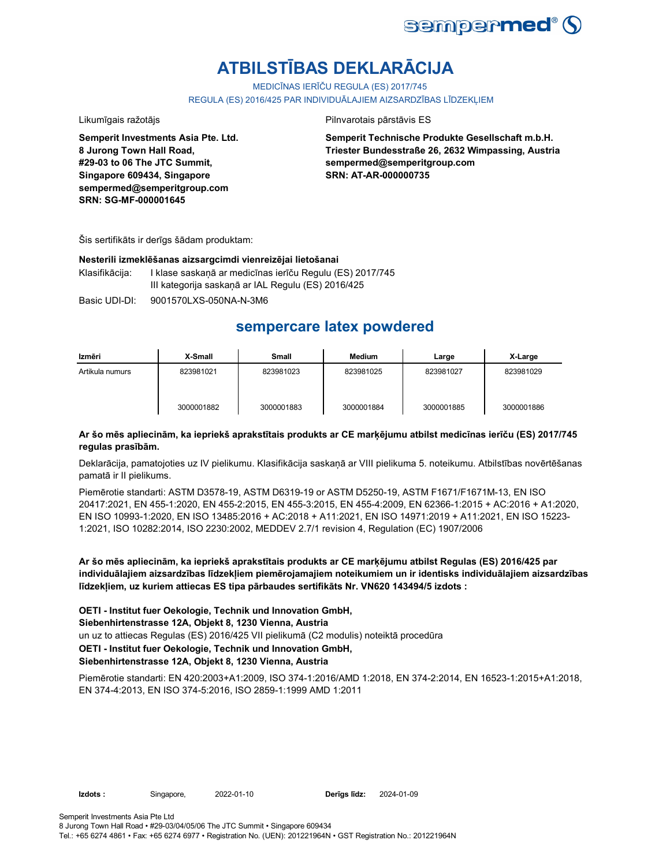

# **ATBILSTĪBAS DEKLARĀCIJA**

MEDICĪNAS IERĪČU REGULA (ES) 2017/745

REGULA (ES) 2016/425 PAR INDIVIDUĀLAJIEM AIZSARDZĪBAS LĪDZEKLIEM

#### Likumīgais ražotājs **Pilnvarotais pārstāvis ES**

**Semperit Investments Asia Pte. Ltd. 8 Jurong Town Hall Road, #29-03 to 06 The JTC Summit, Singapore 609434, Singapore sempermed@semperitgroup.com SRN: SG-MF-000001645**

**Semperit Technische Produkte Gesellschaft m.b.H. Triester Bundesstraße 26, 2632 Wimpassing, Austria sempermed@semperitgroup.com SRN: AT-AR-000000735**

Šis sertifikāts ir derīgs šādam produktam:

#### **Nesterili izmeklēšanas aizsargcimdi vienreizējai lietošanai**

Klasifikācija: I klase saskaņā ar medicīnas ierīču Regulu (ES) 2017/745 III kategorija saskaņā ar IAL Regulu (ES) 2016/425

Basic UDI-DI: 9001570LXS-050NA-N-3M6

## **sempercare latex powdered**

| Izmēri          | X-Small    | <b>Small</b> | Medium     | Large      | X-Large    |
|-----------------|------------|--------------|------------|------------|------------|
| Artikula numurs | 823981021  | 823981023    | 823981025  | 823981027  | 823981029  |
|                 | 3000001882 | 3000001883   | 3000001884 | 3000001885 | 3000001886 |

### **Ar šo mēs apliecinām, ka iepriekš aprakstītais produkts ar CE marķējumu atbilst medicīnas ierīču (ES) 2017/745 regulas prasībām.**

Deklarācija, pamatojoties uz IV pielikumu. Klasifikācija saskaņā ar VIII pielikuma 5. noteikumu. Atbilstības novērtēšanas pamatā ir II pielikums.

Piemērotie standarti: ASTM D3578-19, ASTM D6319-19 or ASTM D5250-19, ASTM F1671/F1671M-13, EN ISO 20417:2021, EN 455-1:2020, EN 455-2:2015, EN 455-3:2015, EN 455-4:2009, EN 62366-1:2015 + AC:2016 + A1:2020, EN ISO 10993-1:2020, EN ISO 13485:2016 + AC:2018 + A11:2021, EN ISO 14971:2019 + A11:2021, EN ISO 15223- 1:2021, ISO 10282:2014, ISO 2230:2002, MEDDEV 2.7/1 revision 4, Regulation (EC) 1907/2006

**Ar šo mēs apliecinām, ka iepriekš aprakstītais produkts ar CE marķējumu atbilst Regulas (ES) 2016/425 par individuālajiem aizsardzības līdzekļiem piemērojamajiem noteikumiem un ir identisks individuālajiem aizsardzības līdzekļiem, uz kuriem attiecas ES tipa pārbaudes sertifikāts Nr. VN620 143494/5 izdots :**

**OETI - Institut fuer Oekologie, Technik und Innovation GmbH, Siebenhirtenstrasse 12A, Objekt 8, 1230 Vienna, Austria** un uz to attiecas Regulas (ES) 2016/425 VII pielikumā (C2 modulis) noteiktā procedūra **OETI - Institut fuer Oekologie, Technik und Innovation GmbH, Siebenhirtenstrasse 12A, Objekt 8, 1230 Vienna, Austria**

Piemērotie standarti: EN 420:2003+A1:2009, ISO 374-1:2016/AMD 1:2018, EN 374-2:2014, EN 16523-1:2015+A1:2018, EN 374-4:2013, EN ISO 374-5:2016, ISO 2859-1:1999 AMD 1:2011

**Izdots :** Singapore, 2022-01-10 **Derīgs līdz:** 2024-01-09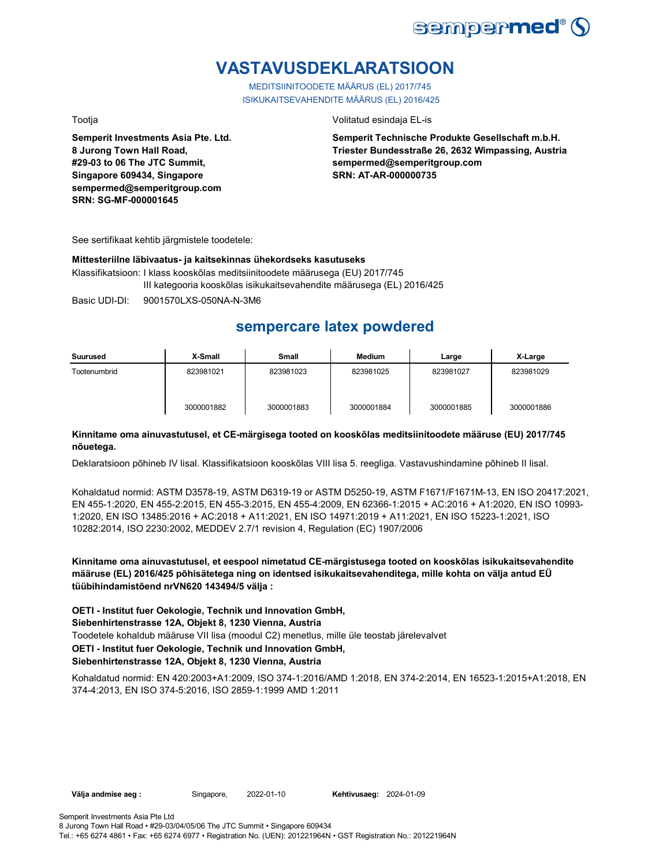

# **VASTAVUSDEKLARATSIOON**

MEDITSIINITOODETE MÄÄRUS (EL) 2017/745 ISIKUKAITSEVAHENDITE MÄÄRUS (EL) 2016/425

**Semperit Investments Asia Pte. Ltd.**

**8 Jurong Town Hall Road, #29-03 to 06 The JTC Summit, Singapore 609434, Singapore sempermed@semperitgroup.com SRN: SG-MF-000001645**

#### Tootja Volitatud esindaja EL-is

**Semperit Technische Produkte Gesellschaft m.b.H. Triester Bundesstraße 26, 2632 Wimpassing, Austria sempermed@semperitgroup.com SRN: AT-AR-000000735**

See sertifikaat kehtib järgmistele toodetele:

#### **Mittesteriilne läbivaatus- ja kaitsekinnas ühekordseks kasutuseks**

Klassifikatsioon: I klass kooskõlas meditsiinitoodete määrusega (EU) 2017/745 III kategooria kooskõlas isikukaitsevahendite määrusega (EL) 2016/425

Basic UDI-DI: 9001570LXS-050NA-N-3M6

## **sempercare latex powdered**

| Suurused     | X-Small    | <b>Small</b> | Medium     | Large      | X-Large    |
|--------------|------------|--------------|------------|------------|------------|
| Tootenumbrid | 823981021  | 823981023    | 823981025  | 823981027  | 823981029  |
|              | 3000001882 | 3000001883   | 3000001884 | 3000001885 | 3000001886 |

### **Kinnitame oma ainuvastutusel, et CE-märgisega tooted on kooskõlas meditsiinitoodete määruse (EU) 2017/745 nõuetega.**

Deklaratsioon põhineb IV lisal. Klassifikatsioon kooskõlas VIII lisa 5. reegliga. Vastavushindamine põhineb II lisal.

Kohaldatud normid: ASTM D3578-19, ASTM D6319-19 or ASTM D5250-19, ASTM F1671/F1671M-13, EN ISO 20417:2021, EN 455-1:2020, EN 455-2:2015, EN 455-3:2015, EN 455-4:2009, EN 62366-1:2015 + AC:2016 + A1:2020, EN ISO 10993- 1:2020, EN ISO 13485:2016 + AC:2018 + A11:2021, EN ISO 14971:2019 + A11:2021, EN ISO 15223-1:2021, ISO 10282:2014, ISO 2230:2002, MEDDEV 2.7/1 revision 4, Regulation (EC) 1907/2006

**Kinnitame oma ainuvastutusel, et eespool nimetatud CE-märgistusega tooted on kooskõlas isikukaitsevahendite määruse (EL) 2016/425 põhisätetega ning on identsed isikukaitsevahenditega, mille kohta on välja antud EÜ tüübihindamistõend nrVN620 143494/5 välja :**

**OETI - Institut fuer Oekologie, Technik und Innovation GmbH, Siebenhirtenstrasse 12A, Objekt 8, 1230 Vienna, Austria**

Toodetele kohaldub määruse VII lisa (moodul C2) menetlus, mille üle teostab järelevalvet

## **OETI - Institut fuer Oekologie, Technik und Innovation GmbH,**

### **Siebenhirtenstrasse 12A, Objekt 8, 1230 Vienna, Austria**

Kohaldatud normid: EN 420:2003+A1:2009, ISO 374-1:2016/AMD 1:2018, EN 374-2:2014, EN 16523-1:2015+A1:2018, EN 374-4:2013, EN ISO 374-5:2016, ISO 2859-1:1999 AMD 1:2011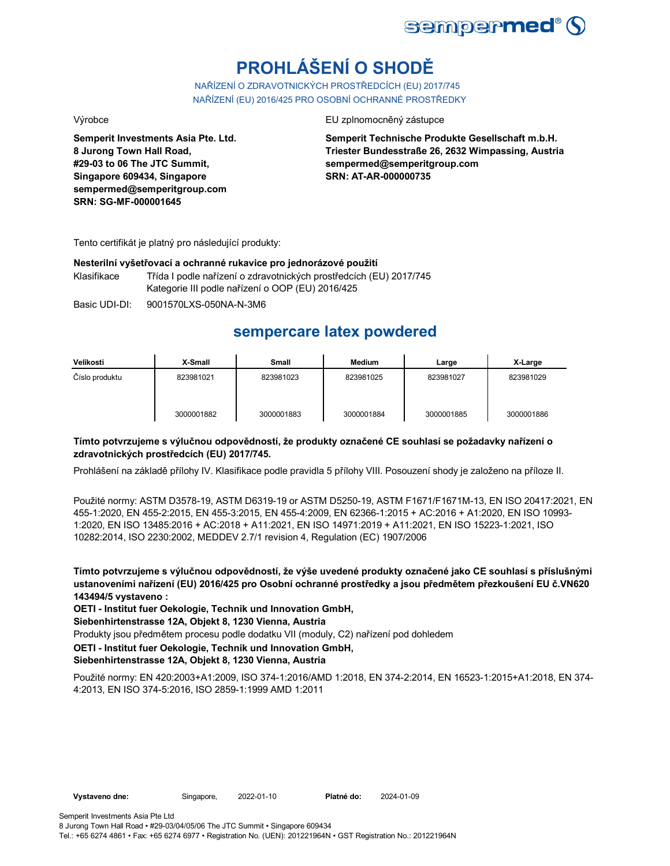

# **PROHLÁŠENÍ O SHODĚ**

NAŘÍZENÍ O ZDRAVOTNICKÝCH PROSTŘEDCÍCH (EU) 2017/745 NAŘÍZENÍ (EU) 2016/425 PRO OSOBNÍ OCHRANNÉ PROSTŘEDKY

**Semperit Investments Asia Pte. Ltd. 8 Jurong Town Hall Road, #29-03 to 06 The JTC Summit, Singapore 609434, Singapore sempermed@semperitgroup.com SRN: SG-MF-000001645**

Výrobce EU zplnomocněný zástupce

**Semperit Technische Produkte Gesellschaft m.b.H. Triester Bundesstraße 26, 2632 Wimpassing, Austria sempermed@semperitgroup.com SRN: AT-AR-000000735**

Tento certifikát je platný pro následující produkty:

#### **Nesterilní vyšetřovací a ochranné rukavice pro jednorázové použití**

Klasifikace Třída I podle nařízení o zdravotnických prostředcích (EU) 2017/745 Kategorie III podle nařízení o OOP (EU) 2016/425

Basic UDI-DI: 9001570LXS-050NA-N-3M6

## **sempercare latex powdered**

| Velikosti      | X-Small    | Small      | <b>Medium</b> | Large      | X-Large    |
|----------------|------------|------------|---------------|------------|------------|
| Číslo produktu | 823981021  | 823981023  | 823981025     | 823981027  | 823981029  |
|                | 3000001882 | 3000001883 | 3000001884    | 3000001885 | 3000001886 |

### **Tímto potvrzujeme s výlučnou odpovědností, že produkty označené CE souhlasí se požadavky nařízení o zdravotnických prostředcích (EU) 2017/745.**

Prohlášení na základě přílohy IV. Klasifikace podle pravidla 5 přílohy VIII. Posouzení shody je založeno na příloze II.

Použité normy: ASTM D3578-19, ASTM D6319-19 or ASTM D5250-19, ASTM F1671/F1671M-13, EN ISO 20417:2021, EN 455-1:2020, EN 455-2:2015, EN 455-3:2015, EN 455-4:2009, EN 62366-1:2015 + AC:2016 + A1:2020, EN ISO 10993- 1:2020, EN ISO 13485:2016 + AC:2018 + A11:2021, EN ISO 14971:2019 + A11:2021, EN ISO 15223-1:2021, ISO 10282:2014, ISO 2230:2002, MEDDEV 2.7/1 revision 4, Regulation (EC) 1907/2006

**Tímto potvrzujeme s výlučnou odpovědností, že výše uvedené produkty označené jako CE souhlasí s příslušnými ustanoveními nařízení (EU) 2016/425 pro Osobní ochranné prostředky a jsou předmětem přezkoušení EU č.VN620 143494/5 vystaveno :**

**OETI - Institut fuer Oekologie, Technik und Innovation GmbH,** 

**Siebenhirtenstrasse 12A, Objekt 8, 1230 Vienna, Austria**

Produkty jsou předmětem procesu podle dodatku VII (moduly, C2) nařízení pod dohledem

### **OETI - Institut fuer Oekologie, Technik und Innovation GmbH,**

**Siebenhirtenstrasse 12A, Objekt 8, 1230 Vienna, Austria**

Použité normy: EN 420:2003+A1:2009, ISO 374-1:2016/AMD 1:2018, EN 374-2:2014, EN 16523-1:2015+A1:2018, EN 374- 4:2013, EN ISO 374-5:2016, ISO 2859-1:1999 AMD 1:2011

Tel.: +65 6274 4861 • Fax: +65 6274 6977 • Registration No. (UEN): 201221964N • GST Registration No.: 201221964N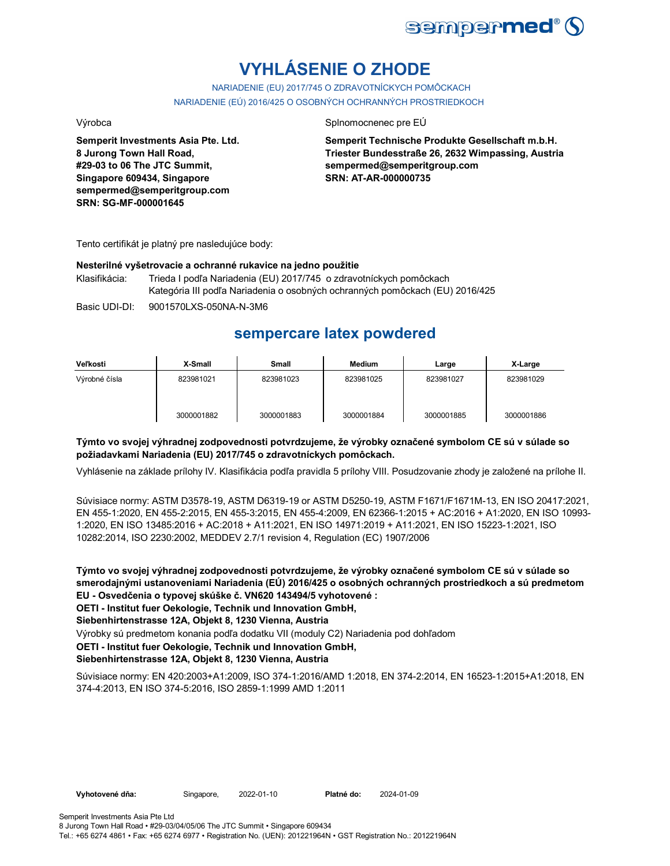

# **VYHLÁSENIE O ZHODE**

NARIADENIE (EU) 2017/745 O ZDRAVOTNÍCKYCH POMÔCKACH NARIADENIE (EÚ) 2016/425 O OSOBNÝCH OCHRANNÝCH PROSTRIEDKOCH

**Semperit Investments Asia Pte. Ltd. 8 Jurong Town Hall Road, #29-03 to 06 The JTC Summit, Singapore 609434, Singapore sempermed@semperitgroup.com SRN: SG-MF-000001645**

#### Výrobca Splnomocnenec pre EÚ

**Semperit Technische Produkte Gesellschaft m.b.H. Triester Bundesstraße 26, 2632 Wimpassing, Austria sempermed@semperitgroup.com SRN: AT-AR-000000735**

Tento certifikát je platný pre nasledujúce body:

#### **Nesterilné vyšetrovacie a ochranné rukavice na jedno použitie**

Klasifikácia: Trieda I podľa Nariadenia (EU) 2017/745 o zdravotníckych pomôckach Kategória III podľa Nariadenia o osobných ochranných pomôckach (EU) 2016/425

Basic UDI-DI: 9001570LXS-050NA-N-3M6

## **sempercare latex powdered**

| Veľkosti      | X-Small    | Small      | Medium     | Large      | X-Large    |
|---------------|------------|------------|------------|------------|------------|
| Výrobné čísla | 823981021  | 823981023  | 823981025  | 823981027  | 823981029  |
|               | 3000001882 | 3000001883 | 3000001884 | 3000001885 | 3000001886 |

### **Týmto vo svojej výhradnej zodpovednosti potvrdzujeme, že výrobky označené symbolom CE sú v súlade so požiadavkami Nariadenia (EU) 2017/745 o zdravotníckych pomôckach.**

Vyhlásenie na základe prílohy IV. Klasifikácia podľa pravidla 5 prílohy VIII. Posudzovanie zhody je založené na prílohe II.

Súvisiace normy: ASTM D3578-19, ASTM D6319-19 or ASTM D5250-19, ASTM F1671/F1671M-13, EN ISO 20417:2021, EN 455-1:2020, EN 455-2:2015, EN 455-3:2015, EN 455-4:2009, EN 62366-1:2015 + AC:2016 + A1:2020, EN ISO 10993- 1:2020, EN ISO 13485:2016 + AC:2018 + A11:2021, EN ISO 14971:2019 + A11:2021, EN ISO 15223-1:2021, ISO 10282:2014, ISO 2230:2002, MEDDEV 2.7/1 revision 4, Regulation (EC) 1907/2006

**Týmto vo svojej výhradnej zodpovednosti potvrdzujeme, že výrobky označené symbolom CE sú v súlade so smerodajnými ustanoveniami Nariadenia (EÚ) 2016/425 o osobných ochranných prostriedkoch a sú predmetom EU - Osvedčenia o typovej skúške č. VN620 143494/5 vyhotovené :**

**OETI - Institut fuer Oekologie, Technik und Innovation GmbH,** 

**Siebenhirtenstrasse 12A, Objekt 8, 1230 Vienna, Austria**

Výrobky sú predmetom konania podľa dodatku VII (moduly C2) Nariadenia pod dohľadom

### **OETI - Institut fuer Oekologie, Technik und Innovation GmbH,**

### **Siebenhirtenstrasse 12A, Objekt 8, 1230 Vienna, Austria**

Súvisiace normy: EN 420:2003+A1:2009, ISO 374-1:2016/AMD 1:2018, EN 374-2:2014, EN 16523-1:2015+A1:2018, EN 374-4:2013, EN ISO 374-5:2016, ISO 2859-1:1999 AMD 1:2011

**Vyhotovené dňa:** Singapore, 2022-01-10 **Platné do:** 2024-01-09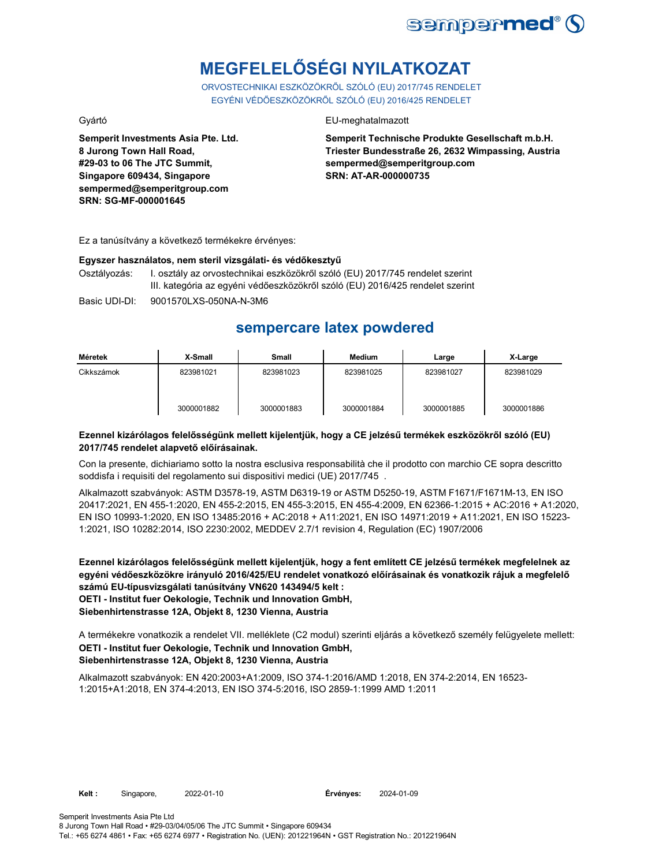

# **MEGFELELŐSÉGI NYILATKOZAT**

ORVOSTECHNIKAI ESZKÖZÖKRŐL SZÓLÓ (EU) 2017/745 RENDELET EGYÉNI VÉDŐESZKÖZÖKRŐL SZÓLÓ (EU) 2016/425 RENDELET

**Semperit Investments Asia Pte. Ltd. 8 Jurong Town Hall Road, #29-03 to 06 The JTC Summit, Singapore 609434, Singapore sempermed@semperitgroup.com SRN: SG-MF-000001645**

### Gyártó EU-meghatalmazott

**Semperit Technische Produkte Gesellschaft m.b.H. Triester Bundesstraße 26, 2632 Wimpassing, Austria sempermed@semperitgroup.com SRN: AT-AR-000000735**

Ez a tanúsítvány a következő termékekre érvényes:

#### **Egyszer használatos, nem steril vizsgálati- és védőkesztyű**

Osztályozás: I. osztály az orvostechnikai eszközökről szóló (EU) 2017/745 rendelet szerint III. kategória az egyéni védőeszközökről szóló (EU) 2016/425 rendelet szerint

Basic UDI-DI: 9001570LXS-050NA-N-3M6

## **sempercare latex powdered**

| Méretek    | X-Small    | Small      | Medium     | Large      | X-Large    |
|------------|------------|------------|------------|------------|------------|
| Cikkszámok | 823981021  | 823981023  | 823981025  | 823981027  | 823981029  |
|            | 3000001882 | 3000001883 | 3000001884 | 3000001885 | 3000001886 |

### **Ezennel kizárólagos felelősségünk mellett kijelentjük, hogy a CE jelzésű termékek eszközökről szóló (EU) 2017/745 rendelet alapvető előírásainak.**

Con la presente, dichiariamo sotto la nostra esclusiva responsabilità che il prodotto con marchio CE sopra descritto soddisfa i requisiti del regolamento sui dispositivi medici (UE) 2017/745 .

Alkalmazott szabványok: ASTM D3578-19, ASTM D6319-19 or ASTM D5250-19, ASTM F1671/F1671M-13, EN ISO 20417:2021, EN 455-1:2020, EN 455-2:2015, EN 455-3:2015, EN 455-4:2009, EN 62366-1:2015 + AC:2016 + A1:2020, EN ISO 10993-1:2020, EN ISO 13485:2016 + AC:2018 + A11:2021, EN ISO 14971:2019 + A11:2021, EN ISO 15223- 1:2021, ISO 10282:2014, ISO 2230:2002, MEDDEV 2.7/1 revision 4, Regulation (EC) 1907/2006

**Ezennel kizárólagos felelősségünk mellett kijelentjük, hogy a fent említett CE jelzésű termékek megfelelnek az egyéni védőeszközökre irányuló 2016/425/EU rendelet vonatkozó előírásainak és vonatkozik rájuk a megfelelő számú EU-típusvizsgálati tanúsítvány VN620 143494/5 kelt : OETI - Institut fuer Oekologie, Technik und Innovation GmbH, Siebenhirtenstrasse 12A, Objekt 8, 1230 Vienna, Austria**

**OETI - Institut fuer Oekologie, Technik und Innovation GmbH, Siebenhirtenstrasse 12A, Objekt 8, 1230 Vienna, Austria** A termékekre vonatkozik a rendelet VII. melléklete (C2 modul) szerinti eljárás a következő személy felügyelete mellett:

Alkalmazott szabványok: EN 420:2003+A1:2009, ISO 374-1:2016/AMD 1:2018, EN 374-2:2014, EN 16523- 1:2015+A1:2018, EN 374-4:2013, EN ISO 374-5:2016, ISO 2859-1:1999 AMD 1:2011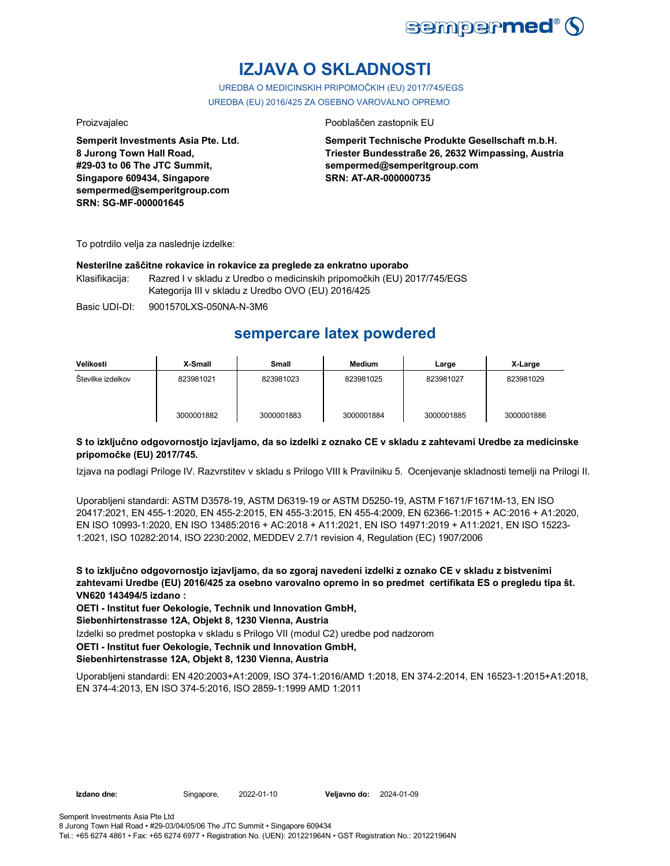

# **IZJAVA O SKLADNOSTI**

UREDBA O MEDICINSKIH PRIPOMOČKIH (EU) 2017/745/EGS UREDBA (EU) 2016/425 ZA OSEBNO VAROVALNO OPREMO

**Semperit Investments Asia Pte. Ltd. 8 Jurong Town Hall Road, #29-03 to 06 The JTC Summit, Singapore 609434, Singapore sempermed@semperitgroup.com SRN: SG-MF-000001645**

#### Proizvajalec **Proizvajalec** Pooblaščen zastopnik EU

**Semperit Technische Produkte Gesellschaft m.b.H. Triester Bundesstraße 26, 2632 Wimpassing, Austria sempermed@semperitgroup.com SRN: AT-AR-000000735**

To potrdilo velja za naslednje izdelke:

#### **Nesterilne zaščitne rokavice in rokavice za preglede za enkratno uporabo**

Klasifikacija: Razred I v skladu z Uredbo o medicinskih pripomočkih (EU) 2017/745/EGS Kategorija III v skladu z Uredbo OVO (EU) 2016/425

Basic UDI-DI: 9001570LXS-050NA-N-3M6

## **sempercare latex powdered**

| Velikosti         | X-Small    | Small      | <b>Medium</b> | Large      | X-Large    |
|-------------------|------------|------------|---------------|------------|------------|
| Stevilke izdelkov | 823981021  | 823981023  | 823981025     | 823981027  | 823981029  |
|                   | 3000001882 | 3000001883 | 3000001884    | 3000001885 | 3000001886 |

### **S to izključno odgovornostjo izjavljamo, da so izdelki z oznako CE v skladu z zahtevami Uredbe za medicinske pripomočke (EU) 2017/745.**

Izjava na podlagi Priloge IV. Razvrstitev v skladu s Prilogo VIII k Pravilniku 5. Ocenjevanje skladnosti temelji na Prilogi II.

Uporabljeni standardi: ASTM D3578-19, ASTM D6319-19 or ASTM D5250-19, ASTM F1671/F1671M-13, EN ISO 20417:2021, EN 455-1:2020, EN 455-2:2015, EN 455-3:2015, EN 455-4:2009, EN 62366-1:2015 + AC:2016 + A1:2020, EN ISO 10993-1:2020, EN ISO 13485:2016 + AC:2018 + A11:2021, EN ISO 14971:2019 + A11:2021, EN ISO 15223- 1:2021, ISO 10282:2014, ISO 2230:2002, MEDDEV 2.7/1 revision 4, Regulation (EC) 1907/2006

**S to izključno odgovornostjo izjavljamo, da so zgoraj navedeni izdelki z oznako CE v skladu z bistvenimi zahtevami Uredbe (EU) 2016/425 za osebno varovalno opremo in so predmet certifikata ES o pregledu tipa št. VN620 143494/5 izdano :**

**OETI - Institut fuer Oekologie, Technik und Innovation GmbH,** 

**Siebenhirtenstrasse 12A, Objekt 8, 1230 Vienna, Austria**

Izdelki so predmet postopka v skladu s Prilogo VII (modul C2) uredbe pod nadzorom

### **OETI - Institut fuer Oekologie, Technik und Innovation GmbH,**

**Siebenhirtenstrasse 12A, Objekt 8, 1230 Vienna, Austria**

Uporabljeni standardi: EN 420:2003+A1:2009, ISO 374-1:2016/AMD 1:2018, EN 374-2:2014, EN 16523-1:2015+A1:2018, EN 374-4:2013, EN ISO 374-5:2016, ISO 2859-1:1999 AMD 1:2011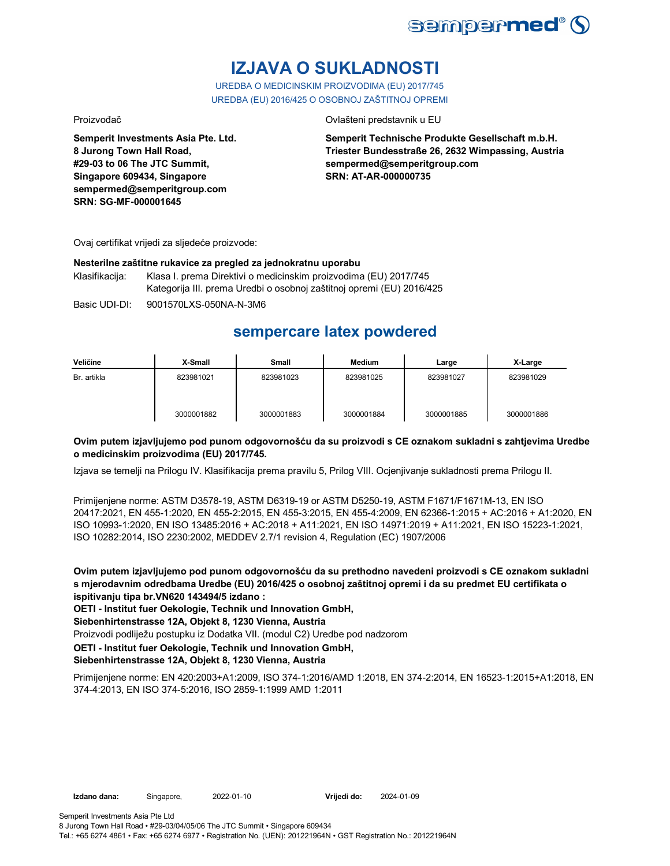

# **IZJAVA O SUKLADNOSTI**

UREDBA O MEDICINSKIM PROIZVODIMA (EU) 2017/745 UREDBA (EU) 2016/425 O OSOBNOJ ZAŠTITNOJ OPREMI

Proizvođač Ovlašteni predstavnik u EU

**Semperit Investments Asia Pte. Ltd. 8 Jurong Town Hall Road, #29-03 to 06 The JTC Summit, Singapore 609434, Singapore sempermed@semperitgroup.com SRN: SG-MF-000001645**

**Semperit Technische Produkte Gesellschaft m.b.H. Triester Bundesstraße 26, 2632 Wimpassing, Austria sempermed@semperitgroup.com SRN: AT-AR-000000735**

Ovaj certifikat vrijedi za sljedeće proizvode:

#### **Nesterilne zaštitne rukavice za pregled za jednokratnu uporabu**

Klasifikacija: Klasa I. prema Direktivi o medicinskim proizvodima (EU) 2017/745 Kategorija III. prema Uredbi o osobnoj zaštitnoj opremi (EU) 2016/425

Basic UDI-DI: 9001570LXS-050NA-N-3M6

## **sempercare latex powdered**

| Veličine    | X-Small    | Small      | <b>Medium</b> | Large      | X-Large    |
|-------------|------------|------------|---------------|------------|------------|
| Br. artikla | 823981021  | 823981023  | 823981025     | 823981027  | 823981029  |
|             | 3000001882 | 3000001883 | 3000001884    | 3000001885 | 3000001886 |

### **Ovim putem izjavljujemo pod punom odgovornošću da su proizvodi s CE oznakom sukladni s zahtjevima Uredbe o medicinskim proizvodima (EU) 2017/745.**

Izjava se temelji na Prilogu IV. Klasifikacija prema pravilu 5, Prilog VIII. Ocjenjivanje sukladnosti prema Prilogu II.

Primijenjene norme: ASTM D3578-19, ASTM D6319-19 or ASTM D5250-19, ASTM F1671/F1671M-13, EN ISO 20417:2021, EN 455-1:2020, EN 455-2:2015, EN 455-3:2015, EN 455-4:2009, EN 62366-1:2015 + AC:2016 + A1:2020, EN ISO 10993-1:2020, EN ISO 13485:2016 + AC:2018 + A11:2021, EN ISO 14971:2019 + A11:2021, EN ISO 15223-1:2021, ISO 10282:2014, ISO 2230:2002, MEDDEV 2.7/1 revision 4, Regulation (EC) 1907/2006

**Ovim putem izjavljujemo pod punom odgovornošću da su prethodno navedeni proizvodi s CE oznakom sukladni s mjerodavnim odredbama Uredbe (EU) 2016/425 o osobnoj zaštitnoj opremi i da su predmet EU certifikata o ispitivanju tipa br.VN620 143494/5 izdano :**

**OETI - Institut fuer Oekologie, Technik und Innovation GmbH,** 

**Siebenhirtenstrasse 12A, Objekt 8, 1230 Vienna, Austria**

Proizvodi podliježu postupku iz Dodatka VII. (modul C2) Uredbe pod nadzorom

**OETI - Institut fuer Oekologie, Technik und Innovation GmbH,** 

**Siebenhirtenstrasse 12A, Objekt 8, 1230 Vienna, Austria**

Primijenjene norme: EN 420:2003+A1:2009, ISO 374-1:2016/AMD 1:2018, EN 374-2:2014, EN 16523-1:2015+A1:2018, EN 374-4:2013, EN ISO 374-5:2016, ISO 2859-1:1999 AMD 1:2011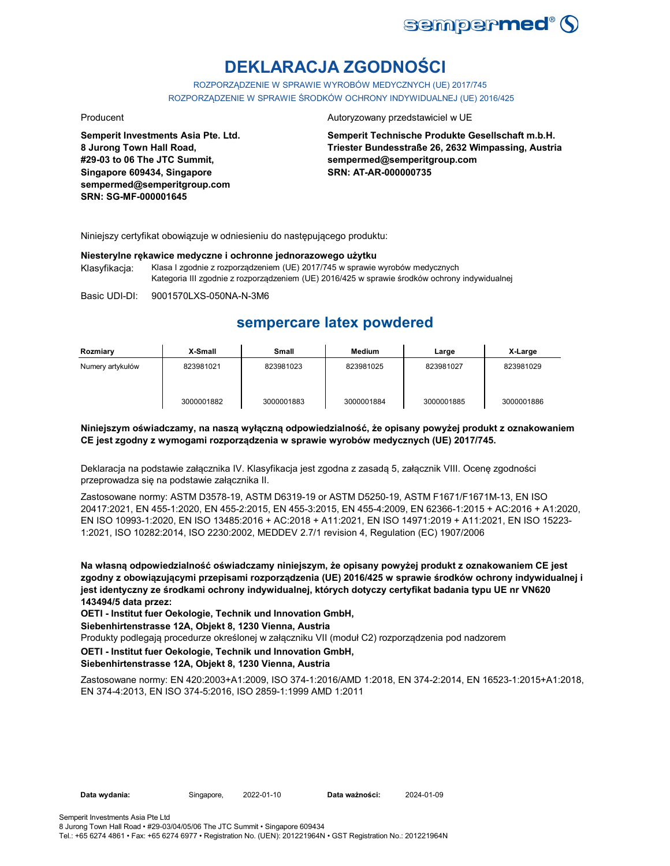

# **DEKLARACJA ZGODNOŚCI**

ROZPORZĄDZENIE W SPRAWIE WYROBÓW MEDYCZNYCH (UE) 2017/745 ROZPORZĄDZENIE W SPRAWIE ŚRODKÓW OCHRONY INDYWIDUALNEJ (UE) 2016/425

**Semperit Investments Asia Pte. Ltd. 8 Jurong Town Hall Road, #29-03 to 06 The JTC Summit, Singapore 609434, Singapore sempermed@semperitgroup.com SRN: SG-MF-000001645**

#### Producent **Autoryzowany przedstawiciel w UE**

**Semperit Technische Produkte Gesellschaft m.b.H. Triester Bundesstraße 26, 2632 Wimpassing, Austria sempermed@semperitgroup.com SRN: AT-AR-000000735**

Niniejszy certyfikat obowiązuje w odniesieniu do następującego produktu:

#### **Niesterylne rękawice medyczne i ochronne jednorazowego użytku**

Klasyfikacja: Klasa I zgodnie z rozporządzeniem (UE) 2017/745 w sprawie wyrobów medycznych Kategoria III zgodnie z rozporządzeniem (UE) 2016/425 w sprawie środków ochrony indywidualnej

Basic UDI-DI: 9001570LXS-050NA-N-3M6

## **sempercare latex powdered**

| Rozmiary         | X-Small    | Small      | Medium     | Large      | X-Large    |
|------------------|------------|------------|------------|------------|------------|
| Numery artykułów | 823981021  | 823981023  | 823981025  | 823981027  | 823981029  |
|                  | 3000001882 | 3000001883 | 3000001884 | 3000001885 | 3000001886 |

### **Niniejszym oświadczamy, na naszą wyłączną odpowiedzialność, że opisany powyżej produkt z oznakowaniem CE jest zgodny z wymogami rozporządzenia w sprawie wyrobów medycznych (UE) 2017/745.**

Deklaracja na podstawie załącznika IV. Klasyfikacja jest zgodna z zasadą 5, załącznik VIII. Ocenę zgodności przeprowadza się na podstawie załącznika II.

Zastosowane normy: ASTM D3578-19, ASTM D6319-19 or ASTM D5250-19, ASTM F1671/F1671M-13, EN ISO 20417:2021, EN 455-1:2020, EN 455-2:2015, EN 455-3:2015, EN 455-4:2009, EN 62366-1:2015 + AC:2016 + A1:2020, EN ISO 10993-1:2020, EN ISO 13485:2016 + AC:2018 + A11:2021, EN ISO 14971:2019 + A11:2021, EN ISO 15223- 1:2021, ISO 10282:2014, ISO 2230:2002, MEDDEV 2.7/1 revision 4, Regulation (EC) 1907/2006

**Na własną odpowiedzialność oświadczamy niniejszym, że opisany powyżej produkt z oznakowaniem CE jest zgodny z obowiązującymi przepisami rozporządzenia (UE) 2016/425 w sprawie środków ochrony indywidualnej i jest identyczny ze środkami ochrony indywidualnej, których dotyczy certyfikat badania typu UE nr VN620 143494/5 data przez:**

**OETI - Institut fuer Oekologie, Technik und Innovation GmbH,** 

**Siebenhirtenstrasse 12A, Objekt 8, 1230 Vienna, Austria**

Produkty podlegają procedurze określonej w załączniku VII (moduł C2) rozporządzenia pod nadzorem

#### **OETI - Institut fuer Oekologie, Technik und Innovation GmbH,**

### **Siebenhirtenstrasse 12A, Objekt 8, 1230 Vienna, Austria**

Zastosowane normy: EN 420:2003+A1:2009, ISO 374-1:2016/AMD 1:2018, EN 374-2:2014, EN 16523-1:2015+A1:2018, EN 374-4:2013, EN ISO 374-5:2016, ISO 2859-1:1999 AMD 1:2011

**Data wydania:** Singapore, 2022-01-10 **Data ważności:** 2024-01-09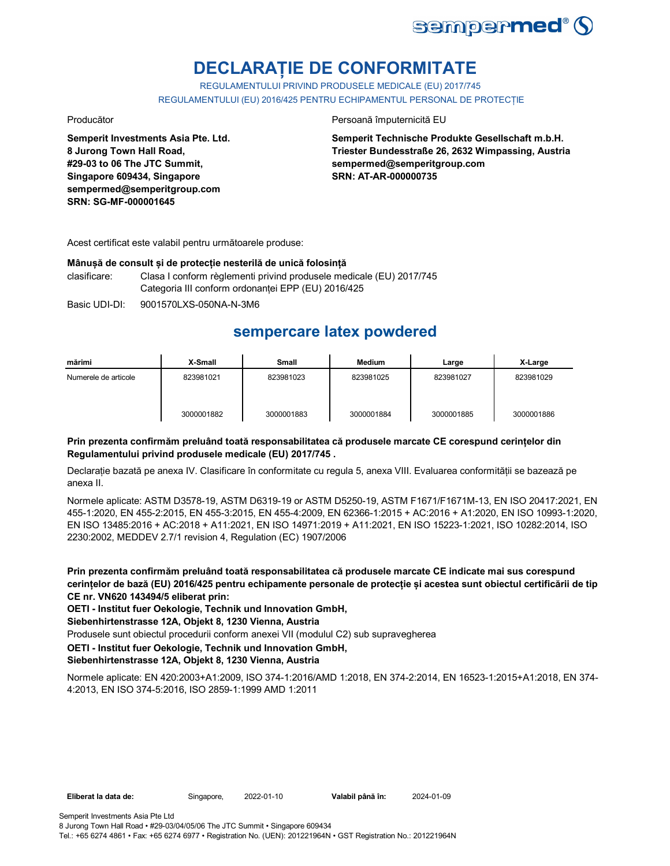

# **DECLARAȚIE DE CONFORMITATE**

REGULAMENTULUI PRIVIND PRODUSELE MEDICALE (EU) 2017/745 REGULAMENTULUI (EU) 2016/425 PENTRU ECHIPAMENTUL PERSONAL DE PROTECȚIE

**Semperit Investments Asia Pte. Ltd. 8 Jurong Town Hall Road, #29-03 to 06 The JTC Summit, Singapore 609434, Singapore sempermed@semperitgroup.com SRN: SG-MF-000001645**

#### Producător **Producător** Persoană împuternicită EU

**Semperit Technische Produkte Gesellschaft m.b.H. Triester Bundesstraße 26, 2632 Wimpassing, Austria sempermed@semperitgroup.com SRN: AT-AR-000000735**

Acest certificat este valabil pentru următoarele produse:

#### **Mânușă de consult și de protecție nesterilă de unică folosință**

clasificare: Clasa I conform règlementi privind produsele medicale (EU) 2017/745 Categoria III conform ordonanței EPP (EU) 2016/425

Basic UDI-DI: 9001570LXS-050NA-N-3M6

## **sempercare latex powdered**

| mărimi               | X-Small    | <b>Small</b> | Medium     | Large      | X-Large    |
|----------------------|------------|--------------|------------|------------|------------|
| Numerele de articole | 823981021  | 823981023    | 823981025  | 823981027  | 823981029  |
|                      | 3000001882 | 3000001883   | 3000001884 | 3000001885 | 3000001886 |

### **Prin prezenta confirmăm preluând toată responsabilitatea că produsele marcate CE corespund cerințelor din Regulamentului privind produsele medicale (EU) 2017/745 .**

Declarație bazată pe anexa IV. Clasificare în conformitate cu regula 5, anexa VIII. Evaluarea conformității se bazează pe anexa II.

Normele aplicate: ASTM D3578-19, ASTM D6319-19 or ASTM D5250-19, ASTM F1671/F1671M-13, EN ISO 20417:2021, EN 455-1:2020, EN 455-2:2015, EN 455-3:2015, EN 455-4:2009, EN 62366-1:2015 + AC:2016 + A1:2020, EN ISO 10993-1:2020, EN ISO 13485:2016 + AC:2018 + A11:2021, EN ISO 14971:2019 + A11:2021, EN ISO 15223-1:2021, ISO 10282:2014, ISO 2230:2002, MEDDEV 2.7/1 revision 4, Regulation (EC) 1907/2006

**Prin prezenta confirmăm preluând toată responsabilitatea că produsele marcate CE indicate mai sus corespund cerințelor de bază (EU) 2016/425 pentru echipamente personale de protecție și acestea sunt obiectul certificării de tip CE nr. VN620 143494/5 eliberat prin:**

**OETI - Institut fuer Oekologie, Technik und Innovation GmbH,** 

**Siebenhirtenstrasse 12A, Objekt 8, 1230 Vienna, Austria**

Produsele sunt obiectul procedurii conform anexei VII (modulul C2) sub supravegherea

### **OETI - Institut fuer Oekologie, Technik und Innovation GmbH,**

**Siebenhirtenstrasse 12A, Objekt 8, 1230 Vienna, Austria**

Normele aplicate: EN 420:2003+A1:2009, ISO 374-1:2016/AMD 1:2018, EN 374-2:2014, EN 16523-1:2015+A1:2018, EN 374- 4:2013, EN ISO 374-5:2016, ISO 2859-1:1999 AMD 1:2011

**Eliberat la data de:** Singapore, 2022-01-10 **Valabil până în:** 2024-01-09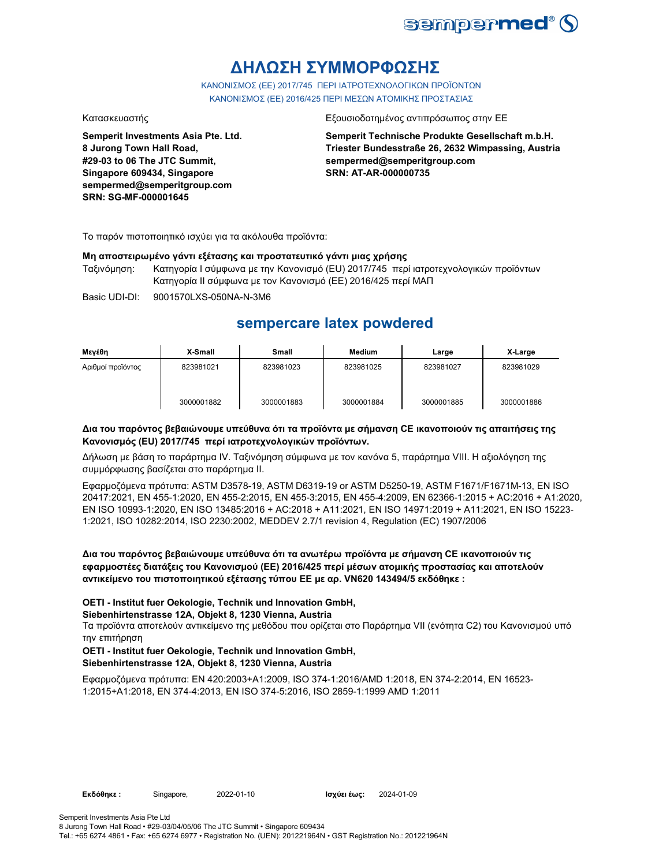

# **ΔΗΛΩΣΗ ΣΥΜΜΟΡΦΩΣΗΣ**

ΚΑΝΟΝΙΣΜΟΣ (EE) 2017/745 ΠΕΡΙ ΙΑΤΡΟΤΕΧΝΟΛΟΓΙΚΩΝ ΠΡΟΪΟΝΤΩΝ ΚΑΝΟΝΙΣΜΟΣ (ΕΕ) 2016/425 ΠΕΡΙ ΜΕΣΩΝ ΑΤΟΜΙΚΗΣ ΠΡΟΣΤΑΣΙΑΣ

**Semperit Investments Asia Pte. Ltd. 8 Jurong Town Hall Road, #29-03 to 06 The JTC Summit, Singapore 609434, Singapore sempermed@semperitgroup.com SRN: SG-MF-000001645**

#### Κατασκευαστής Εξουσιοδοτημένος αντιπρόσωπος στην ΕΕ

**Semperit Technische Produkte Gesellschaft m.b.H. Triester Bundesstraße 26, 2632 Wimpassing, Austria sempermed@semperitgroup.com SRN: AT-AR-000000735**

Το παρόν πιστοποιητικό ισχύει για τα ακόλουθα προϊόντα:

#### **Μη αποστειρωμένο γάντι εξέτασης και προστατευτικό γάντι μιας χρήσης**

Ταξινόμηση: Κατηγορία I σύμφωνα με την Κανονισμό (EU) 2017/745 περί ιατροτεχνολογικών προϊόντων Κατηγορία II σύμφωνα με τον Κανονισμό (ΕΕ) 2016/425 περί ΜΑΠ

Basic UDI-DI: 9001570LXS-050NA-N-3M6

## **sempercare latex powdered**

| Μενέθη            | X-Small    | <b>Small</b> | <b>Medium</b> | Large      | X-Large    |
|-------------------|------------|--------------|---------------|------------|------------|
| Αριθμοί προϊόντος | 823981021  | 823981023    | 823981025     | 823981027  | 823981029  |
|                   | 3000001882 | 3000001883   | 3000001884    | 3000001885 | 3000001886 |

### **Δια του παρόντος βεβαιώνουμε υπεύθυνα ότι τα προϊόντα με σήμανση CE ικανοποιούν τις απαιτήσεις της Κανονισμός (EU) 2017/745 περί ιατροτεχνολογικών προϊόντων.**

Δήλωση με βάση το παράρτημα IV. Ταξινόμηση σύμφωνα με τον κανόνα 5, παράρτημα VIII. Η αξιολόγηση της συμμόρφωσης βασίζεται στο παράρτημα II.

Εφαρμοζόμενα πρότυπα: ASTM D3578-19, ASTM D6319-19 or ASTM D5250-19, ASTM F1671/F1671M-13, EN ISO 20417:2021, EN 455-1:2020, EN 455-2:2015, EN 455-3:2015, EN 455-4:2009, EN 62366-1:2015 + AC:2016 + A1:2020, EN ISO 10993-1:2020, EN ISO 13485:2016 + AC:2018 + A11:2021, EN ISO 14971:2019 + A11:2021, EN ISO 15223- 1:2021, ISO 10282:2014, ISO 2230:2002, MEDDEV 2.7/1 revision 4, Regulation (EC) 1907/2006

### **Δια του παρόντος βεβαιώνουμε υπεύθυνα ότι τα ανωτέρω προϊόντα με σήμανση CE ικανοποιούν τις εφαρμοστέες διατάξεις του Κανονισμού (ΕΕ) 2016/425 περί μέσων ατομικής προστασίας και αποτελούν αντικείμενο του πιστοποιητικού εξέτασης τύπου ΕΕ με αρ. VN620 143494/5 εκδόθηκε :**

### **OETI - Institut fuer Oekologie, Technik und Innovation GmbH,**

#### **Siebenhirtenstrasse 12A, Objekt 8, 1230 Vienna, Austria**

Τα προϊόντα αποτελούν αντικείμενο της μεθόδου που ορίζεται στο Παράρτημα VII (ενότητα C2) του Κανονισμού υπό την επιτήρηση

#### **OETI - Institut fuer Oekologie, Technik und Innovation GmbH, Siebenhirtenstrasse 12A, Objekt 8, 1230 Vienna, Austria**

Εφαρμοζόμενα πρότυπα: EN 420:2003+A1:2009, ISO 374-1:2016/AMD 1:2018, EN 374-2:2014, EN 16523- 1:2015+A1:2018, EN 374-4:2013, EN ISO 374-5:2016, ISO 2859-1:1999 AMD 1:2011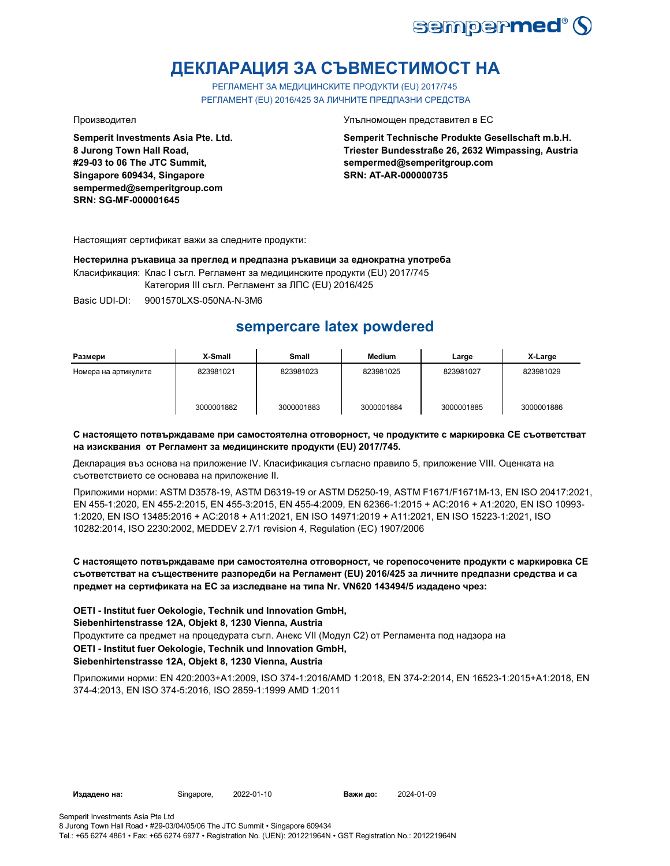

# **ДЕКЛАРАЦИЯ ЗА СЪВМЕСТИМОСТ НА**

РЕГЛАМЕНТ ЗА МЕДИЦИНСКИТЕ ПРОДУКТИ (EU) 2017/745 РЕГЛАМЕНТ (EU) 2016/425 ЗА ЛИЧНИТЕ ПРЕДПАЗНИ СРЕДСТВА

**Semperit Investments Asia Pte. Ltd. 8 Jurong Town Hall Road, #29-03 to 06 The JTC Summit, Singapore 609434, Singapore sempermed@semperitgroup.com SRN: SG-MF-000001645**

Производител Упълномощен представител в ЕС

**Semperit Technische Produkte Gesellschaft m.b.H. Triester Bundesstraße 26, 2632 Wimpassing, Austria sempermed@semperitgroup.com SRN: AT-AR-000000735**

Настоящият сертификат важи за следните продукти:

**Нестерилна ръкавица за преглед и предпазна ръкавици за еднократна употреба** Класификация: Клас I съгл. Регламент за медицинските продукти (EU) 2017/745

Категория III съгл. Регламент за ЛПС (EU) 2016/425

Basic UDI-DI: 9001570LXS-050NA-N-3M6

# **sempercare latex powdered**

| Размери              | X-Small    | Small      | <b>Medium</b> | Large      | X-Large    |
|----------------------|------------|------------|---------------|------------|------------|
| Номера на артикулите | 823981021  | 823981023  | 823981025     | 823981027  | 823981029  |
|                      | 3000001882 | 3000001883 | 3000001884    | 3000001885 | 3000001886 |

### **С настоящето потвърждаваме при самостоятелна отговорност, че продуктите с маркировка СЕ съответстват на изисквания от Регламент за медицинските продукти (EU) 2017/745.**

Декларация въз основа на приложение IV. Класификация съгласно правило 5, приложение VIII. Оценката на съответствието се основава на приложение II.

Приложими норми: ASTM D3578-19, ASTM D6319-19 or ASTM D5250-19, ASTM F1671/F1671M-13, EN ISO 20417:2021, EN 455-1:2020, EN 455-2:2015, EN 455-3:2015, EN 455-4:2009, EN 62366-1:2015 + AC:2016 + A1:2020, EN ISO 10993- 1:2020, EN ISO 13485:2016 + AC:2018 + A11:2021, EN ISO 14971:2019 + A11:2021, EN ISO 15223-1:2021, ISO 10282:2014, ISO 2230:2002, MEDDEV 2.7/1 revision 4, Regulation (EC) 1907/2006

### **С настоящето потвърждаваме при самостоятелна отговорност, че горепосочените продукти с маркировка СЕ съответстват на съществените разпоредби на Регламент (EU) 2016/425 за личните предпазни средства и са предмет на сертификата на ЕС за изследване на типа Nr. VN620 143494/5 издадено чрез:**

**OETI - Institut fuer Oekologie, Technik und Innovation GmbH, Siebenhirtenstrasse 12A, Objekt 8, 1230 Vienna, Austria**

**OETI - Institut fuer Oekologie, Technik und Innovation GmbH,**  Продуктите са предмет на процедурата съгл. Анекс VII (Модул С2) от Регламента под надзора на

### **Siebenhirtenstrasse 12A, Objekt 8, 1230 Vienna, Austria**

Приложими норми: EN 420:2003+A1:2009, ISO 374-1:2016/AMD 1:2018, EN 374-2:2014, EN 16523-1:2015+A1:2018, EN 374-4:2013, EN ISO 374-5:2016, ISO 2859-1:1999 AMD 1:2011

**Издадено на:** Singapore, 2022-01-10 **Важи до:** 2024-01-09